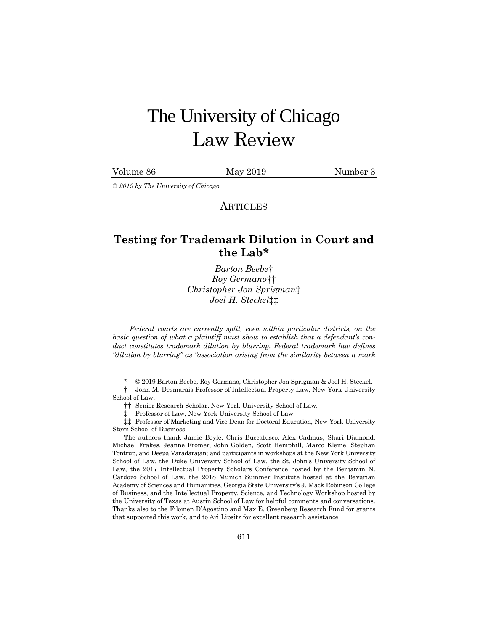# The University of Chicago Law Review

| Volume 86 | May 2019 | Number 3 |
|-----------|----------|----------|
|           |          |          |

*© 2019 by The University of Chicago*

**ARTICLES** 

# **Testing for Trademark Dilution in Court and the Lab[\\*](#page-0-0)**

*Barton Beebe*[†](#page-0-1) *Roy Germano*[††](#page-0-2) *Christopher Jon Sprigman*[‡](#page-0-3) *Joel H. Steckel*[‡‡](#page-0-4)

*Federal courts are currently split, even within particular districts, on the basic question of what a plaintiff must show to establish that a defendant's conduct constitutes trademark dilution by blurring. Federal trademark law defines "dilution by blurring" as "association arising from the similarity between a mark* 

<span id="page-0-2"></span><span id="page-0-1"></span><span id="page-0-0"></span>† John M. Desmarais Professor of Intellectual Property Law, New York University School of Law.

‡ Professor of Law, New York University School of Law.

The authors thank Jamie Boyle, Chris Buccafusco, Alex Cadmus, Shari Diamond, Michael Frakes, Jeanne Fromer, John Golden, Scott Hemphill, Marco Kleine, Stephan Tontrup, and Deepa Varadarajan; and participants in workshops at the New York University School of Law, the Duke University School of Law, the St. John's University School of Law, the 2017 Intellectual Property Scholars Conference hosted by the Benjamin N. Cardozo School of Law, the 2018 Munich Summer Institute hosted at the Bavarian Academy of Sciences and Humanities, Georgia State University's J. Mack Robinson College of Business, and the Intellectual Property, Science, and Technology Workshop hosted by the University of Texas at Austin School of Law for helpful comments and conversations. Thanks also to the Filomen D'Agostino and Max E. Greenberg Research Fund for grants that supported this work, and to Ari Lipsitz for excellent research assistance.

<sup>\*</sup> © 2019 Barton Beebe, Roy Germano, Christopher Jon Sprigman & Joel H. Steckel.

<sup>††</sup> Senior Research Scholar, New York University School of Law.

<span id="page-0-4"></span><span id="page-0-3"></span><sup>‡‡</sup> Professor of Marketing and Vice Dean for Doctoral Education, New York University Stern School of Business.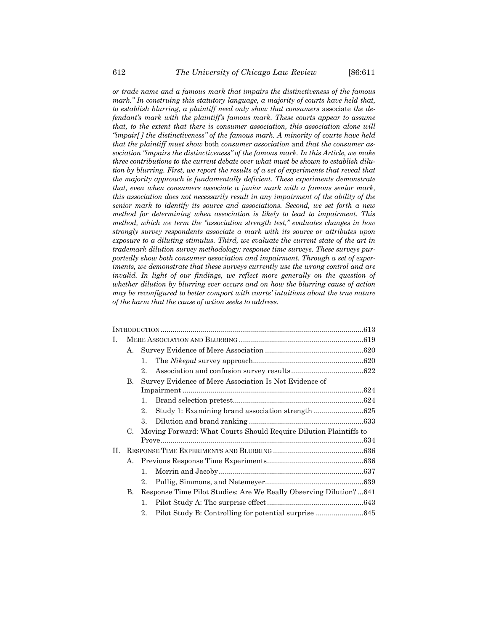*or trade name and a famous mark that impairs the distinctiveness of the famous mark." In construing this statutory language, a majority of courts have held that, to establish blurring, a plaintiff need only show that consumers* associate *the defendant's mark with the plaintiff's famous mark. These courts appear to assume that, to the extent that there is consumer association, this association alone will "impair[ ] the distinctiveness" of the famous mark. A minority of courts have held that the plaintiff must show* both *consumer association* and *that the consumer association "impairs the distinctiveness" of the famous mark. In this Article, we make three contributions to the current debate over what must be shown to establish dilution by blurring. First, we report the results of a set of experiments that reveal that the majority approach is fundamentally deficient. These experiments demonstrate that, even when consumers associate a junior mark with a famous senior mark, this association does not necessarily result in any impairment of the ability of the senior mark to identify its source and associations. Second, we set forth a new method for determining when association is likely to lead to impairment. This method, which we term the "association strength test," evaluates changes in how strongly survey respondents associate a mark with its source or attributes upon exposure to a diluting stimulus. Third, we evaluate the current state of the art in trademark dilution survey methodology: response time surveys. These surveys purportedly show both consumer association and impairment. Through a set of experiments, we demonstrate that these surveys currently use the wrong control and are invalid. In light of our findings, we reflect more generally on the question of whether dilution by blurring ever occurs and on how the blurring cause of action may be reconfigured to better comport with courts' intuitions about the true nature of the harm that the cause of action seeks to address.*

| Ι. |    |              |                                                                   |  |
|----|----|--------------|-------------------------------------------------------------------|--|
|    | A. |              |                                                                   |  |
|    |    | 1.           |                                                                   |  |
|    |    | $2_{-}$      |                                                                   |  |
|    | В. |              | Survey Evidence of Mere Association Is Not Evidence of            |  |
|    |    |              |                                                                   |  |
|    |    | 1.           |                                                                   |  |
|    |    | $2_{-}$      |                                                                   |  |
|    |    | 3.           |                                                                   |  |
|    | C. |              | Moving Forward: What Courts Should Require Dilution Plaintiffs to |  |
|    |    |              |                                                                   |  |
| H. |    |              |                                                                   |  |
|    |    |              |                                                                   |  |
|    |    | 1.           |                                                                   |  |
|    |    | $2_{-}$      |                                                                   |  |
|    | В. |              | Response Time Pilot Studies: Are We Really Observing Dilution?641 |  |
|    |    | $\mathbf{1}$ |                                                                   |  |
|    |    | $2_{-}$      |                                                                   |  |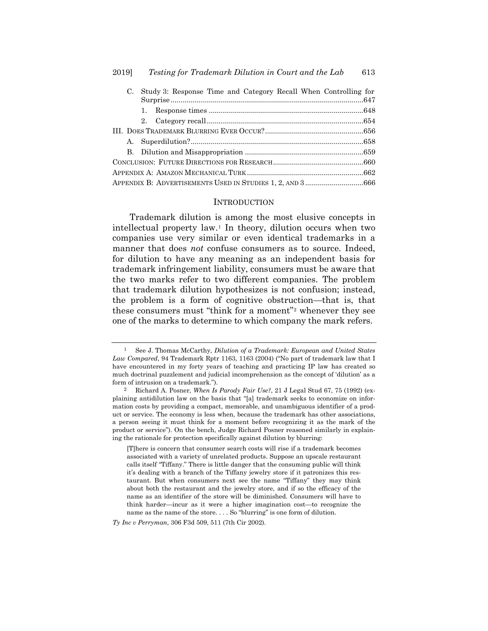| $C_{\cdot}$ | Study 3: Response Time and Category Recall When Controlling for |  |
|-------------|-----------------------------------------------------------------|--|
|             |                                                                 |  |
|             |                                                                 |  |
|             |                                                                 |  |
|             |                                                                 |  |
|             |                                                                 |  |
|             |                                                                 |  |
|             |                                                                 |  |
|             |                                                                 |  |
|             | APPENDIX B: ADVERTISEMENTS USED IN STUDIES 1, 2, AND 3666       |  |

#### <span id="page-2-2"></span>INTRODUCTION

Trademark dilution is among the most elusive concepts in intellectual property law.[1](#page-2-0) In theory, dilution occurs when two companies use very similar or even identical trademarks in a manner that does *not* confuse consumers as to source. Indeed, for dilution to have any meaning as an independent basis for trademark infringement liability, consumers must be aware that the two marks refer to two different companies. The problem that trademark dilution hypothesizes is not confusion; instead, the problem is a form of cognitive obstruction—that is, that these consumers must "think for a moment"[2](#page-2-1) whenever they see one of the marks to determine to which company the mark refers.

*Ty Inc v Perryman*, 306 F3d 509, 511 (7th Cir 2002).

<span id="page-2-0"></span><sup>1</sup> See J. Thomas McCarthy, *Dilution of a Trademark: European and United States Law Compared*, 94 Trademark Rptr 1163, 1163 (2004) ("No part of trademark law that I have encountered in my forty years of teaching and practicing IP law has created so much doctrinal puzzlement and judicial incomprehension as the concept of 'dilution' as a form of intrusion on a trademark.").

<span id="page-2-1"></span><sup>2</sup> Richard A. Posner, *When Is Parody Fair Use?*, 21 J Legal Stud 67, 75 (1992) (explaining antidilution law on the basis that "[a] trademark seeks to economize on information costs by providing a compact, memorable, and unambiguous identifier of a product or service. The economy is less when, because the trademark has other associations, a person seeing it must think for a moment before recognizing it as the mark of the product or service"). On the bench, Judge Richard Posner reasoned similarly in explaining the rationale for protection specifically against dilution by blurring:

<sup>[</sup>T]here is concern that consumer search costs will rise if a trademark becomes associated with a variety of unrelated products. Suppose an upscale restaurant calls itself "Tiffany." There is little danger that the consuming public will think it's dealing with a branch of the Tiffany jewelry store if it patronizes this restaurant. But when consumers next see the name "Tiffany" they may think about both the restaurant and the jewelry store, and if so the efficacy of the name as an identifier of the store will be diminished. Consumers will have to think harder—incur as it were a higher imagination cost—to recognize the name as the name of the store. . . . So "blurring" is one form of dilution.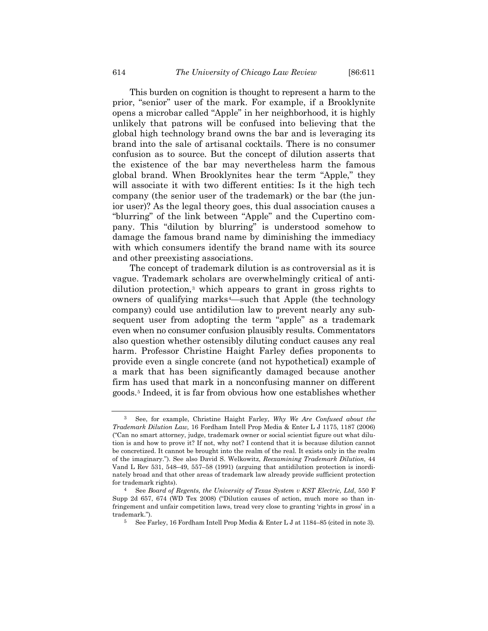This burden on cognition is thought to represent a harm to the prior, "senior" user of the mark. For example, if a Brooklynite opens a microbar called "Apple" in her neighborhood, it is highly unlikely that patrons will be confused into believing that the global high technology brand owns the bar and is leveraging its brand into the sale of artisanal cocktails. There is no consumer confusion as to source. But the concept of dilution asserts that the existence of the bar may nevertheless harm the famous global brand. When Brooklynites hear the term "Apple," they will associate it with two different entities: Is it the high tech company (the senior user of the trademark) or the bar (the junior user)? As the legal theory goes, this dual association causes a "blurring" of the link between "Apple" and the Cupertino company. This "dilution by blurring" is understood somehow to damage the famous brand name by diminishing the immediacy with which consumers identify the brand name with its source and other preexisting associations.

<span id="page-3-0"></span>The concept of trademark dilution is as controversial as it is vague. Trademark scholars are overwhelmingly critical of antidilution protection,[3](#page-3-1) which appears to grant in gross rights to owners of qualifying marks<sup>[4](#page-3-2)</sup>—such that Apple (the technology company) could use antidilution law to prevent nearly any subsequent user from adopting the term "apple" as a trademark even when no consumer confusion plausibly results. Commentators also question whether ostensibly diluting conduct causes any real harm. Professor Christine Haight Farley defies proponents to provide even a single concrete (and not hypothetical) example of a mark that has been significantly damaged because another firm has used that mark in a nonconfusing manner on different goods[.5](#page-3-3) Indeed, it is far from obvious how one establishes whether

<span id="page-3-1"></span><sup>3</sup> See, for example, Christine Haight Farley, *Why We Are Confused about the Trademark Dilution Law,* 16 Fordham Intell Prop Media & Enter L J 1175, 1187 (2006) ("Can no smart attorney, judge, trademark owner or social scientist figure out what dilution is and how to prove it? If not, why not? I contend that it is because dilution cannot be concretized. It cannot be brought into the realm of the real. It exists only in the realm of the imaginary."). See also David S. Welkowitz, *Reexamining Trademark Dilution*, 44 Vand L Rev 531, 548–49, 557–58 (1991) (arguing that antidilution protection is inordinately broad and that other areas of trademark law already provide sufficient protection for trademark rights).

<span id="page-3-3"></span><span id="page-3-2"></span><sup>4</sup> See *Board of Regents, the University of Texas System v KST Electric, Ltd*, 550 F Supp 2d 657, 674 (WD Tex 2008) ("Dilution causes of action, much more so than infringement and unfair competition laws, tread very close to granting 'rights in gross' in a trademark.").

<sup>5</sup> See Farley, 16 Fordham Intell Prop Media & Enter L J at 1184–85 (cited in not[e 3\)](#page-3-0).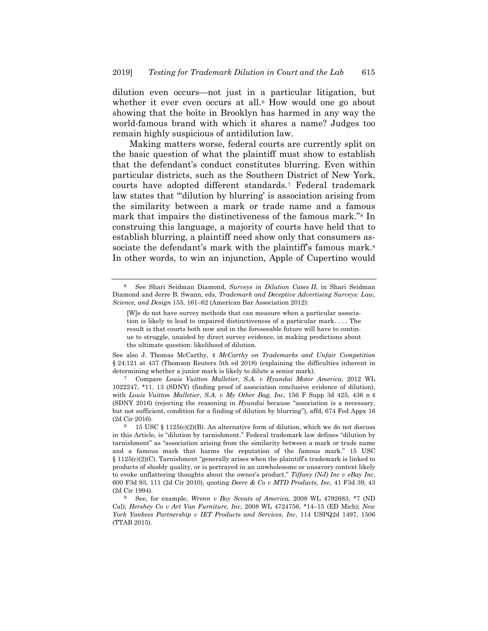<span id="page-4-4"></span>dilution even occurs—not just in a particular litigation, but whether it ever even occurs at all.<sup>6</sup> How would one go about showing that the boîte in Brooklyn has harmed in any way the world-famous brand with which it shares a name? Judges too remain highly suspicious of antidilution law.

Making matters worse, federal courts are currently split on the basic question of what the plaintiff must show to establish that the defendant's conduct constitutes blurring. Even within particular districts, such as the Southern District of New York, courts have adopted different standards.[7](#page-4-1) Federal trademark law states that "'dilution by blurring' is association arising from the similarity between a mark or trade name and a famous mark that impairs the distinctiveness of the famous mark."[8](#page-4-2) In construing this language, a majority of courts have held that to establish blurring, a plaintiff need show only that consumers as-sociate the defendant's mark with the plaintiff's famous mark.<sup>[9](#page-4-3)</sup> In other words, to win an injunction, Apple of Cupertino would

See also J. Thomas McCarthy, 4 *McCarthy on Trademarks and Unfair Competition* § 24:121 at 437 (Thomson Reuters 5th ed 2018) (explaining the difficulties inherent in determining whether a junior mark is likely to dilute a senior mark).

<span id="page-4-1"></span>7 Compare *Louis Vuitton Malletier, S.A. v Hyundai Motor America*, 2012 WL 1022247, \*11, 13 (SDNY) (finding proof of association conclusive evidence of dilution), with *Louis Vuitton Malletier, S.A. v My Other Bag, Inc*, 156 F Supp 3d 425, 436 n 4 (SDNY 2016) (rejecting the reasoning in *Hyundai* because "association is a necessary, but not sufficient, condition for a finding of dilution by blurring"), affd, 674 Fed Appx 16 (2d Cir 2016).

<span id="page-4-0"></span><sup>6</sup> See Shari Seidman Diamond, *Surveys in Dilution Cases II*, in Shari Seidman Diamond and Jerre B. Swann, eds, *Trademark and Deceptive Advertising Surveys: Law, Science, and Design* 155, 161–62 (American Bar Association 2012):

<sup>[</sup>W]e do not have survey methods that can measure when a particular association is likely to lead to impaired distinctiveness of a particular mark. . . . The result is that courts both now and in the foreseeable future will have to continue to struggle, unaided by direct survey evidence, in making predictions about the ultimate question: likelihood of dilution.

<span id="page-4-2"></span><sup>&</sup>lt;sup>8</sup> 15 USC § 1125(c)(2)(B). An alternative form of dilution, which we do not discuss in this Article, is "dilution by tarnishment." Federal trademark law defines "dilution by tarnishment" as "association arising from the similarity between a mark or trade name and a famous mark that harms the reputation of the famous mark." 15 USC § 1125(c)(2)(C). Tarnishment "generally arises when the plaintiff's trademark is linked to products of shoddy quality, or is portrayed in an unwholesome or unsavory context likely to evoke unflattering thoughts about the owner's product." *Tiffany (NJ) Inc v eBay Inc*, 600 F3d 93, 111 (2d Cir 2010), quoting *Deere & Co v MTD Products, Inc*, 41 F3d 39, 43 (2d Cir 1994).

<span id="page-4-3"></span><sup>9</sup> See, for example, *Wrenn v Boy Scouts of America*, 2008 WL 4792683, \*7 (ND Cal); *Hershey Co v Art Van Furniture, Inc*, 2008 WL 4724756, \*14–15 (ED Mich); *New York Yankees Partnership v IET Products and Services, Inc*, 114 USPQ2d 1497, 1506 (TTAB 2015).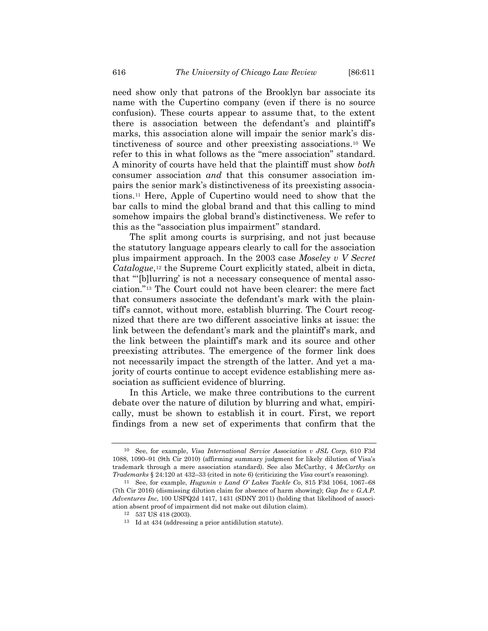need show only that patrons of the Brooklyn bar associate its name with the Cupertino company (even if there is no source confusion). These courts appear to assume that, to the extent there is association between the defendant's and plaintiff's marks, this association alone will impair the senior mark's distinctiveness of source and other preexisting associations.[10](#page-5-0) We refer to this in what follows as the "mere association" standard. A minority of courts have held that the plaintiff must show *both* consumer association *and* that this consumer association impairs the senior mark's distinctiveness of its preexisting associations.[11](#page-5-1) Here, Apple of Cupertino would need to show that the bar calls to mind the global brand and that this calling to mind somehow impairs the global brand's distinctiveness. We refer to this as the "association plus impairment" standard.

The split among courts is surprising, and not just because the statutory language appears clearly to call for the association plus impairment approach. In the 2003 case *Moseley v V Secret Catalogue*,<sup>[12](#page-5-2)</sup> the Supreme Court explicitly stated, albeit in dicta, that "'[b]lurring' is not a necessary consequence of mental association."[13](#page-5-3) The Court could not have been clearer: the mere fact that consumers associate the defendant's mark with the plaintiff's cannot, without more, establish blurring. The Court recognized that there are two different associative links at issue: the link between the defendant's mark and the plaintiff's mark, and the link between the plaintiff's mark and its source and other preexisting attributes. The emergence of the former link does not necessarily impact the strength of the latter. And yet a majority of courts continue to accept evidence establishing mere association as sufficient evidence of blurring.

In this Article, we make three contributions to the current debate over the nature of dilution by blurring and what, empirically, must be shown to establish it in court. First, we report findings from a new set of experiments that confirm that the

<span id="page-5-0"></span><sup>10</sup> See, for example, *Visa International Service Association v JSL Corp*, 610 F3d 1088, 1090–91 (9th Cir 2010) (affirming summary judgment for likely dilution of Visa's trademark through a mere association standard). See also McCarthy, 4 *McCarthy on Trademarks* § 24:120 at 432–33 (cited in note [6\)](#page-4-4) (criticizing the *Visa* court's reasoning).

<span id="page-5-3"></span><span id="page-5-2"></span><span id="page-5-1"></span><sup>11</sup> See, for example, *Hugunin v Land O' Lakes Tackle Co*, 815 F3d 1064, 1067–68 (7th Cir 2016) (dismissing dilution claim for absence of harm showing); *Gap Inc v G.A.P. Adventures Inc*, 100 USPQ2d 1417, 1431 (SDNY 2011) (holding that likelihood of association absent proof of impairment did not make out dilution claim).

<sup>12</sup> 537 US 418 (2003).

<sup>13</sup> Id at 434 (addressing a prior antidilution statute).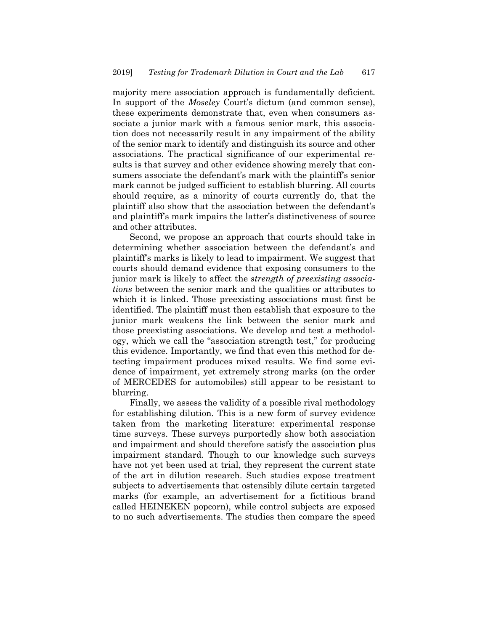majority mere association approach is fundamentally deficient. In support of the *Moseley* Court's dictum (and common sense), these experiments demonstrate that, even when consumers associate a junior mark with a famous senior mark, this association does not necessarily result in any impairment of the ability of the senior mark to identify and distinguish its source and other associations. The practical significance of our experimental results is that survey and other evidence showing merely that consumers associate the defendant's mark with the plaintiff's senior mark cannot be judged sufficient to establish blurring. All courts should require, as a minority of courts currently do, that the plaintiff also show that the association between the defendant's and plaintiff's mark impairs the latter's distinctiveness of source and other attributes.

Second, we propose an approach that courts should take in determining whether association between the defendant's and plaintiff's marks is likely to lead to impairment. We suggest that courts should demand evidence that exposing consumers to the junior mark is likely to affect the *strength of preexisting associations* between the senior mark and the qualities or attributes to which it is linked. Those preexisting associations must first be identified. The plaintiff must then establish that exposure to the junior mark weakens the link between the senior mark and those preexisting associations. We develop and test a methodology, which we call the "association strength test," for producing this evidence. Importantly, we find that even this method for detecting impairment produces mixed results. We find some evidence of impairment, yet extremely strong marks (on the order of MERCEDES for automobiles) still appear to be resistant to blurring.

Finally, we assess the validity of a possible rival methodology for establishing dilution. This is a new form of survey evidence taken from the marketing literature: experimental response time surveys. These surveys purportedly show both association and impairment and should therefore satisfy the association plus impairment standard. Though to our knowledge such surveys have not yet been used at trial, they represent the current state of the art in dilution research. Such studies expose treatment subjects to advertisements that ostensibly dilute certain targeted marks (for example, an advertisement for a fictitious brand called HEINEKEN popcorn), while control subjects are exposed to no such advertisements. The studies then compare the speed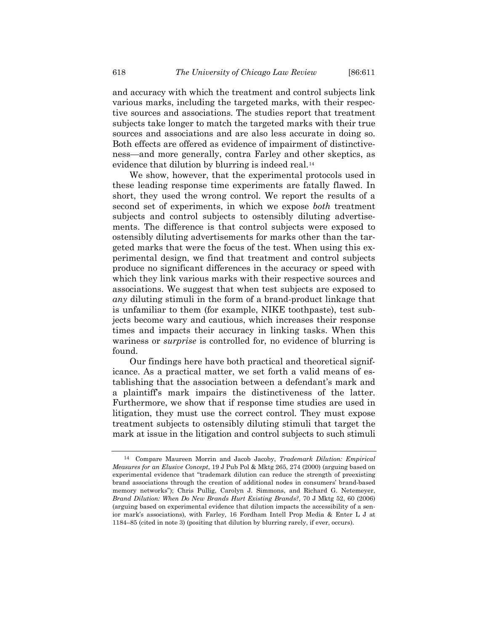and accuracy with which the treatment and control subjects link various marks, including the targeted marks, with their respective sources and associations. The studies report that treatment subjects take longer to match the targeted marks with their true sources and associations and are also less accurate in doing so. Both effects are offered as evidence of impairment of distinctiveness—and more generally, contra Farley and other skeptics, as evidence that dilution by blurring is indeed real.[14](#page-7-0)

<span id="page-7-1"></span>We show, however, that the experimental protocols used in these leading response time experiments are fatally flawed. In short, they used the wrong control. We report the results of a second set of experiments, in which we expose *both* treatment subjects and control subjects to ostensibly diluting advertisements. The difference is that control subjects were exposed to ostensibly diluting advertisements for marks other than the targeted marks that were the focus of the test. When using this experimental design, we find that treatment and control subjects produce no significant differences in the accuracy or speed with which they link various marks with their respective sources and associations. We suggest that when test subjects are exposed to *any* diluting stimuli in the form of a brand-product linkage that is unfamiliar to them (for example, NIKE toothpaste), test subjects become wary and cautious, which increases their response times and impacts their accuracy in linking tasks. When this wariness or *surprise* is controlled for, no evidence of blurring is found.

Our findings here have both practical and theoretical significance. As a practical matter, we set forth a valid means of establishing that the association between a defendant's mark and a plaintiff's mark impairs the distinctiveness of the latter. Furthermore, we show that if response time studies are used in litigation, they must use the correct control. They must expose treatment subjects to ostensibly diluting stimuli that target the mark at issue in the litigation and control subjects to such stimuli

<span id="page-7-0"></span><sup>14</sup> Compare Maureen Morrin and Jacob Jacoby, *Trademark Dilution: Empirical Measures for an Elusive Concept*, 19 J Pub Pol & Mktg 265, 274 (2000) (arguing based on experimental evidence that "trademark dilution can reduce the strength of preexisting brand associations through the creation of additional nodes in consumers' brand-based memory networks"); Chris Pullig, Carolyn J. Simmons, and Richard G. Netemeyer, *Brand Dilution: When Do New Brands Hurt Existing Brands?*, 70 J Mktg 52, 60 (2006) (arguing based on experimental evidence that dilution impacts the accessibility of a senior mark's associations), with Farley, 16 Fordham Intell Prop Media & Enter L J at 1184–85 (cited in note [3\)](#page-3-0) (positing that dilution by blurring rarely, if ever, occurs).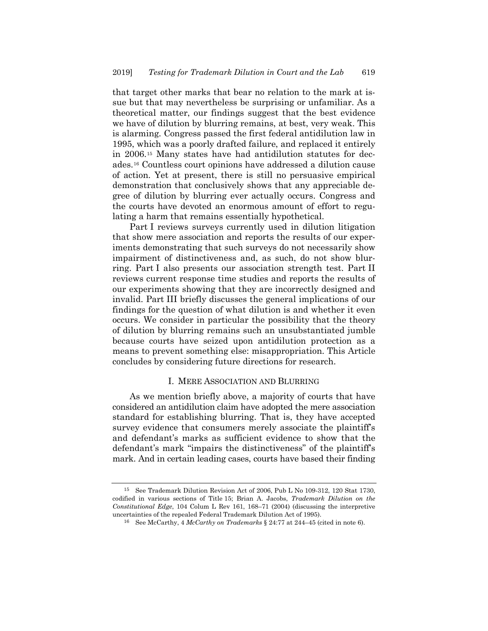that target other marks that bear no relation to the mark at issue but that may nevertheless be surprising or unfamiliar. As a theoretical matter, our findings suggest that the best evidence we have of dilution by blurring remains, at best, very weak. This is alarming. Congress passed the first federal antidilution law in 1995, which was a poorly drafted failure, and replaced it entirely in 2006[.15](#page-8-0) Many states have had antidilution statutes for decades.[16](#page-8-1) Countless court opinions have addressed a dilution cause of action. Yet at present, there is still no persuasive empirical demonstration that conclusively shows that any appreciable degree of dilution by blurring ever actually occurs. Congress and the courts have devoted an enormous amount of effort to regulating a harm that remains essentially hypothetical.

Part I reviews surveys currently used in dilution litigation that show mere association and reports the results of our experiments demonstrating that such surveys do not necessarily show impairment of distinctiveness and, as such, do not show blurring. Part I also presents our association strength test. Part II reviews current response time studies and reports the results of our experiments showing that they are incorrectly designed and invalid. Part III briefly discusses the general implications of our findings for the question of what dilution is and whether it even occurs. We consider in particular the possibility that the theory of dilution by blurring remains such an unsubstantiated jumble because courts have seized upon antidilution protection as a means to prevent something else: misappropriation. This Article concludes by considering future directions for research.

## I. MERE ASSOCIATION AND BLURRING

As we mention briefly above, a majority of courts that have considered an antidilution claim have adopted the mere association standard for establishing blurring. That is, they have accepted survey evidence that consumers merely associate the plaintiff's and defendant's marks as sufficient evidence to show that the defendant's mark "impairs the distinctiveness" of the plaintiff's mark. And in certain leading cases, courts have based their finding

<span id="page-8-1"></span><span id="page-8-0"></span><sup>15</sup> See Trademark Dilution Revision Act of 2006, Pub L No 109-312, 120 Stat 1730, codified in various sections of Title 15; Brian A. Jacobs, *Trademark Dilution on the Constitutional Edge*, 104 Colum L Rev 161, 168–71 (2004) (discussing the interpretive uncertainties of the repealed Federal Trademark Dilution Act of 1995).

<sup>16</sup> See McCarthy, 4 *McCarthy on Trademarks* § 24:77 at 244–45 (cited in not[e 6\)](#page-4-4).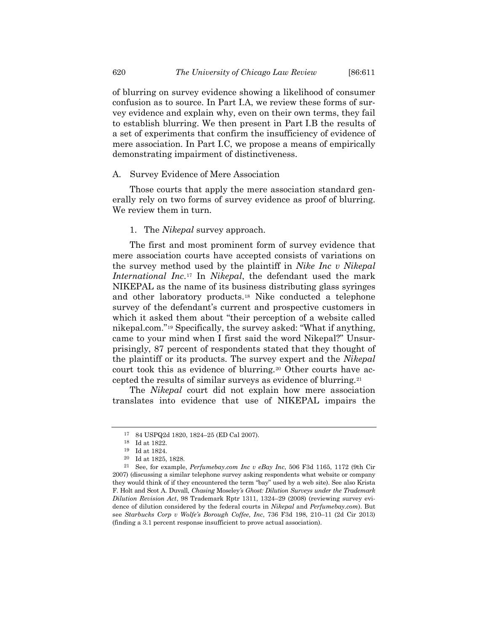of blurring on survey evidence showing a likelihood of consumer confusion as to source. In Part I.A, we review these forms of survey evidence and explain why, even on their own terms, they fail to establish blurring. We then present in Part I.B the results of a set of experiments that confirm the insufficiency of evidence of mere association. In Part I.C, we propose a means of empirically demonstrating impairment of distinctiveness.

#### A. Survey Evidence of Mere Association

Those courts that apply the mere association standard generally rely on two forms of survey evidence as proof of blurring. We review them in turn.

#### 1. The *Nikepal* survey approach.

The first and most prominent form of survey evidence that mere association courts have accepted consists of variations on the survey method used by the plaintiff in *Nike Inc v Nikepal International Inc*.[17](#page-9-0) In *Nikepal*, the defendant used the mark NIKEPAL as the name of its business distributing glass syringes and other laboratory products.[18](#page-9-1) Nike conducted a telephone survey of the defendant's current and prospective customers in which it asked them about "their perception of a website called nikepal.com."[19](#page-9-2) Specifically, the survey asked: "What if anything, came to your mind when I first said the word Nikepal?" Unsurprisingly, 87 percent of respondents stated that they thought of the plaintiff or its products. The survey expert and the *Nikepal* court took this as evidence of blurring.[20](#page-9-3) Other courts have accepted the results of similar surveys as evidence of blurring.[21](#page-9-4)

The *Nikepal* court did not explain how mere association translates into evidence that use of NIKEPAL impairs the

<span id="page-9-5"></span><sup>17</sup> 84 USPQ2d 1820, 1824–25 (ED Cal 2007).

 $^{\rm 18}$  Id at 1822.

<sup>19</sup> Id at 1824.

<sup>20</sup> Id at 1825, 1828.

<span id="page-9-4"></span><span id="page-9-3"></span><span id="page-9-2"></span><span id="page-9-1"></span><span id="page-9-0"></span><sup>21</sup> See, for example, *Perfumebay.com Inc v eBay Inc*, 506 F3d 1165, 1172 (9th Cir 2007) (discussing a similar telephone survey asking respondents what website or company they would think of if they encountered the term "bay" used by a web site). See also Krista F. Holt and Scot A. Duvall, *Chasing* Moseley*'s Ghost: Dilution Surveys under the Trademark Dilution Revision Act*, 98 Trademark Rptr 1311, 1324–29 (2008) (reviewing survey evidence of dilution considered by the federal courts in *Nikepal* and *Perfumebay.com*). But see *Starbucks Corp v Wolfe's Borough Coffee, Inc*, 736 F3d 198, 210–11 (2d Cir 2013) (finding a 3.1 percent response insufficient to prove actual association).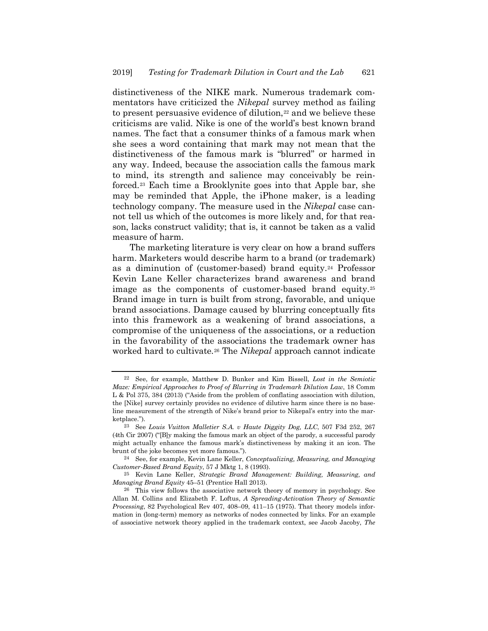distinctiveness of the NIKE mark. Numerous trademark commentators have criticized the *Nikepal* survey method as failing to present persuasive evidence of dilution,<sup>[22](#page-10-0)</sup> and we believe these criticisms are valid. Nike is one of the world's best known brand names. The fact that a consumer thinks of a famous mark when she sees a word containing that mark may not mean that the distinctiveness of the famous mark is "blurred" or harmed in any way. Indeed, because the association calls the famous mark to mind, its strength and salience may conceivably be reinforced[.23](#page-10-1) Each time a Brooklynite goes into that Apple bar, she may be reminded that Apple, the iPhone maker, is a leading technology company. The measure used in the *Nikepal* case cannot tell us which of the outcomes is more likely and, for that reason, lacks construct validity; that is, it cannot be taken as a valid measure of harm.

The marketing literature is very clear on how a brand suffers harm. Marketers would describe harm to a brand (or trademark) as a diminution of (customer-based) brand equity.[24](#page-10-2) Professor Kevin Lane Keller characterizes brand awareness and brand image as the components of customer-based brand equity.[25](#page-10-3) Brand image in turn is built from strong, favorable, and unique brand associations. Damage caused by blurring conceptually fits into this framework as a weakening of brand associations, a compromise of the uniqueness of the associations, or a reduction in the favorability of the associations the trademark owner has worked hard to cultivate.[26](#page-10-4) The *Nikepal* approach cannot indicate

<span id="page-10-5"></span><span id="page-10-0"></span><sup>22</sup> See, for example, Matthew D. Bunker and Kim Bissell, *Lost in the Semiotic Maze: Empirical Approaches to Proof of Blurring in Trademark Dilution Law*, 18 Comm L & Pol 375, 384 (2013) ("Aside from the problem of conflating association with dilution, the [Nike] survey certainly provides no evidence of dilutive harm since there is no baseline measurement of the strength of Nike's brand prior to Nikepal's entry into the marketplace.").

<span id="page-10-1"></span><sup>23</sup> See *Louis Vuitton Malletier S.A. v Haute Diggity Dog, LLC*, 507 F3d 252, 267 (4th Cir 2007) ("[B]y making the famous mark an object of the parody, a successful parody might actually enhance the famous mark's distinctiveness by making it an icon. The brunt of the joke becomes yet more famous.").

<span id="page-10-2"></span><sup>24</sup> See, for example, Kevin Lane Keller, *Conceptualizing, Measuring, and Managing Customer-Based Brand Equity*, 57 J Mktg 1, 8 (1993).

<span id="page-10-3"></span><sup>25</sup> Kevin Lane Keller, *Strategic Brand Management: Building, Measuring, and Managing Brand Equity* 45–51 (Prentice Hall 2013).

<span id="page-10-4"></span><sup>26</sup> This view follows the associative network theory of memory in psychology. See Allan M. Collins and Elizabeth F. Loftus, *A Spreading-Activation Theory of Semantic Processing*, 82 Psychological Rev 407, 408–09, 411–15 (1975). That theory models information in (long-term) memory as networks of nodes connected by links. For an example of associative network theory applied in the trademark context, see Jacob Jacoby, *The*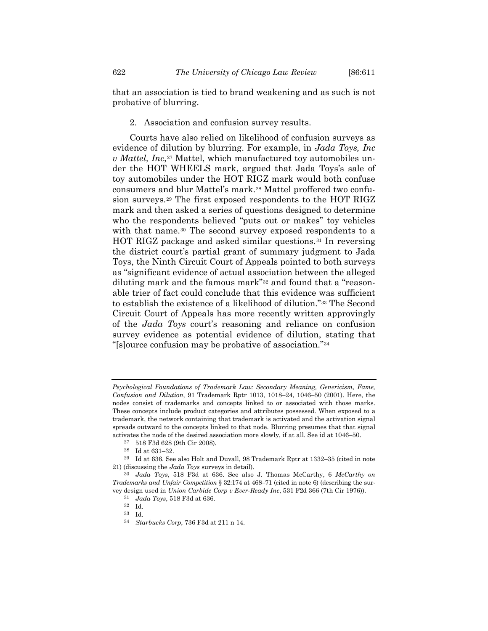that an association is tied to brand weakening and as such is not probative of blurring.

2. Association and confusion survey results.

Courts have also relied on likelihood of confusion surveys as evidence of dilution by blurring. For example, in *Jada Toys, Inc v Mattel, Inc.*<sup>[27](#page-11-0)</sup> Mattel, which manufactured toy automobiles under the HOT WHEELS mark, argued that Jada Toys's sale of toy automobiles under the HOT RIGZ mark would both confuse consumers and blur Mattel's mark.[28](#page-11-1) Mattel proffered two confusion surveys.[29](#page-11-2) The first exposed respondents to the HOT RIGZ mark and then asked a series of questions designed to determine who the respondents believed "puts out or makes" toy vehicles with that name.<sup>30</sup> The second survey exposed respondents to a HOT RIGZ package and asked similar questions.[31](#page-11-4) In reversing the district court's partial grant of summary judgment to Jada Toys, the Ninth Circuit Court of Appeals pointed to both surveys as "significant evidence of actual association between the alleged diluting mark and the famous mark"[32](#page-11-5) and found that a "reasonable trier of fact could conclude that this evidence was sufficient to establish the existence of a likelihood of dilution."[33](#page-11-6) The Second Circuit Court of Appeals has more recently written approvingly of the *Jada Toys* court's reasoning and reliance on confusion survey evidence as potential evidence of dilution, stating that "[s]ource confusion may be probative of association."[34](#page-11-7)

*Psychological Foundations of Trademark Law: Secondary Meaning, Genericism, Fame, Confusion and Dilution*, 91 Trademark Rptr 1013, 1018–24, 1046–50 (2001). Here, the nodes consist of trademarks and concepts linked to or associated with those marks. These concepts include product categories and attributes possessed. When exposed to a trademark, the network containing that trademark is activated and the activation signal spreads outward to the concepts linked to that node. Blurring presumes that that signal activates the node of the desired association more slowly, if at all. See id at 1046–50.

<sup>27</sup> 518 F3d 628 (9th Cir 2008).

<sup>28</sup> Id at 631–32.

<span id="page-11-2"></span><span id="page-11-1"></span><span id="page-11-0"></span><sup>29</sup> Id at 636. See also Holt and Duvall, 98 Trademark Rptr at 1332–35 (cited in note [21\)](#page-9-5) (discussing the *Jada Toys* surveys in detail).

<span id="page-11-7"></span><span id="page-11-6"></span><span id="page-11-5"></span><span id="page-11-4"></span><span id="page-11-3"></span><sup>30</sup> *Jada Toys*, 518 F3d at 636. See also J. Thomas McCarthy, 6 *McCarthy on Trademarks and Unfair Competition* § 32:174 at 468–71 (cited in not[e 6\)](#page-4-4) (describing the survey design used in *Union Carbide Corp v Ever-Ready Inc*, 531 F2d 366 (7th Cir 1976)).

<sup>31</sup> *Jada Toys*, 518 F3d at 636.

<sup>32</sup> Id.

<sup>33</sup> Id.

<sup>34</sup> *Starbucks Corp*, 736 F3d at 211 n 14.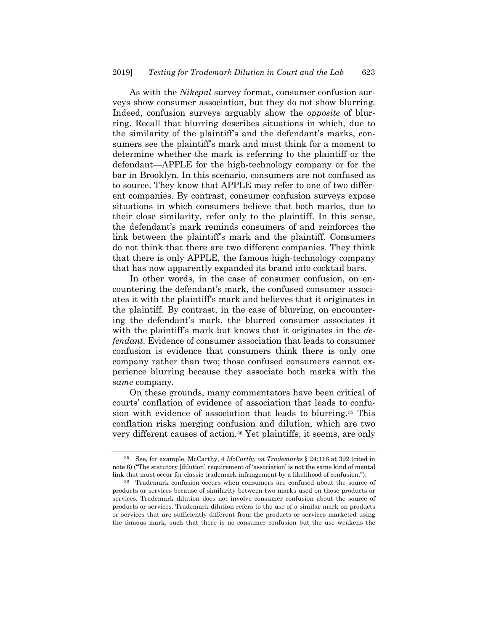As with the *Nikepal* survey format, consumer confusion surveys show consumer association, but they do not show blurring. Indeed, confusion surveys arguably show the *opposite* of blurring. Recall that blurring describes situations in which, due to the similarity of the plaintiff's and the defendant's marks, consumers see the plaintiff's mark and must think for a moment to determine whether the mark is referring to the plaintiff or the defendant—APPLE for the high-technology company or for the bar in Brooklyn. In this scenario, consumers are not confused as to source. They know that APPLE may refer to one of two different companies. By contrast, consumer confusion surveys expose situations in which consumers believe that both marks, due to their close similarity, refer only to the plaintiff. In this sense, the defendant's mark reminds consumers of and reinforces the link between the plaintiff's mark and the plaintiff. Consumers do not think that there are two different companies. They think that there is only APPLE, the famous high-technology company that has now apparently expanded its brand into cocktail bars.

In other words, in the case of consumer confusion, on encountering the defendant's mark, the confused consumer associates it with the plaintiff's mark and believes that it originates in the plaintiff. By contrast, in the case of blurring, on encountering the defendant's mark, the blurred consumer associates it with the plaintiff's mark but knows that it originates in the *defendant*. Evidence of consumer association that leads to consumer confusion is evidence that consumers think there is only one company rather than two; those confused consumers cannot experience blurring because they associate both marks with the *same* company.

On these grounds, many commentators have been critical of courts' conflation of evidence of association that leads to confusion with evidence of association that leads to blurring.[35](#page-12-0) This conflation risks merging confusion and dilution, which are two very different causes of action.[36](#page-12-1) Yet plaintiffs, it seems, are only

<span id="page-12-0"></span><sup>35</sup> See, for example, McCarthy, 4 *McCarthy on Trademarks* § 24:116 at 392 (cited in note [6\)](#page-4-4) ("The statutory [dilution] requirement of 'association' is not the same kind of mental link that must occur for classic trademark infringement by a likelihood of confusion.").

<span id="page-12-1"></span><sup>36</sup> Trademark confusion occurs when consumers are confused about the source of products or services because of similarity between two marks used on those products or services. Trademark dilution does not involve consumer confusion about the source of products or services. Trademark dilution refers to the use of a similar mark on products or services that are sufficiently different from the products or services marketed using the famous mark, such that there is no consumer confusion but the use weakens the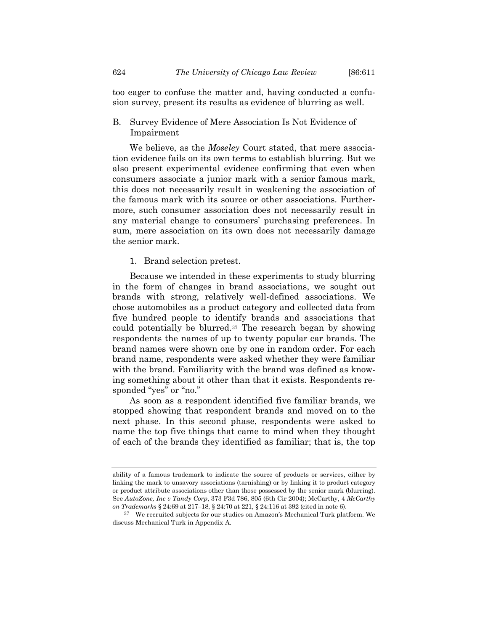too eager to confuse the matter and, having conducted a confusion survey, present its results as evidence of blurring as well.

B. Survey Evidence of Mere Association Is Not Evidence of Impairment

We believe, as the *Moseley* Court stated, that mere association evidence fails on its own terms to establish blurring. But we also present experimental evidence confirming that even when consumers associate a junior mark with a senior famous mark, this does not necessarily result in weakening the association of the famous mark with its source or other associations. Furthermore, such consumer association does not necessarily result in any material change to consumers' purchasing preferences. In sum, mere association on its own does not necessarily damage the senior mark.

1. Brand selection pretest.

Because we intended in these experiments to study blurring in the form of changes in brand associations, we sought out brands with strong, relatively well-defined associations. We chose automobiles as a product category and collected data from five hundred people to identify brands and associations that could potentially be blurred.[37](#page-13-0) The research began by showing respondents the names of up to twenty popular car brands. The brand names were shown one by one in random order. For each brand name, respondents were asked whether they were familiar with the brand. Familiarity with the brand was defined as knowing something about it other than that it exists. Respondents responded "yes" or "no."

As soon as a respondent identified five familiar brands, we stopped showing that respondent brands and moved on to the next phase. In this second phase, respondents were asked to name the top five things that came to mind when they thought of each of the brands they identified as familiar; that is, the top

ability of a famous trademark to indicate the source of products or services, either by linking the mark to unsavory associations (tarnishing) or by linking it to product category or product attribute associations other than those possessed by the senior mark (blurring). See *AutoZone, Inc v Tandy Corp*, 373 F3d 786, 805 (6th Cir 2004); McCarthy, 4 *McCarthy on Trademarks* § 24:69 at 217–18, § 24:70 at 221, § 24:116 at 392 (cited in not[e 6\).](#page-4-4)

<span id="page-13-0"></span><sup>37</sup> We recruited subjects for our studies on Amazon's Mechanical Turk platform. We discuss Mechanical Turk in Appendix A.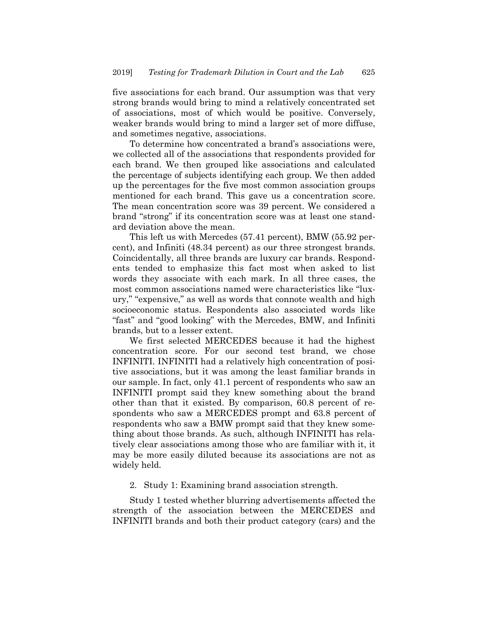five associations for each brand. Our assumption was that very strong brands would bring to mind a relatively concentrated set of associations, most of which would be positive. Conversely, weaker brands would bring to mind a larger set of more diffuse, and sometimes negative, associations.

To determine how concentrated a brand's associations were, we collected all of the associations that respondents provided for each brand. We then grouped like associations and calculated the percentage of subjects identifying each group. We then added up the percentages for the five most common association groups mentioned for each brand. This gave us a concentration score. The mean concentration score was 39 percent. We considered a brand "strong" if its concentration score was at least one standard deviation above the mean.

This left us with Mercedes (57.41 percent), BMW (55.92 percent), and Infiniti (48.34 percent) as our three strongest brands. Coincidentally, all three brands are luxury car brands. Respondents tended to emphasize this fact most when asked to list words they associate with each mark. In all three cases, the most common associations named were characteristics like "luxury," "expensive," as well as words that connote wealth and high socioeconomic status. Respondents also associated words like "fast" and "good looking" with the Mercedes, BMW, and Infiniti brands, but to a lesser extent.

We first selected MERCEDES because it had the highest concentration score. For our second test brand, we chose INFINITI. INFINITI had a relatively high concentration of positive associations, but it was among the least familiar brands in our sample. In fact, only 41.1 percent of respondents who saw an INFINITI prompt said they knew something about the brand other than that it existed. By comparison, 60.8 percent of respondents who saw a MERCEDES prompt and 63.8 percent of respondents who saw a BMW prompt said that they knew something about those brands. As such, although INFINITI has relatively clear associations among those who are familiar with it, it may be more easily diluted because its associations are not as widely held.

## 2. Study 1: Examining brand association strength.

Study 1 tested whether blurring advertisements affected the strength of the association between the MERCEDES and INFINITI brands and both their product category (cars) and the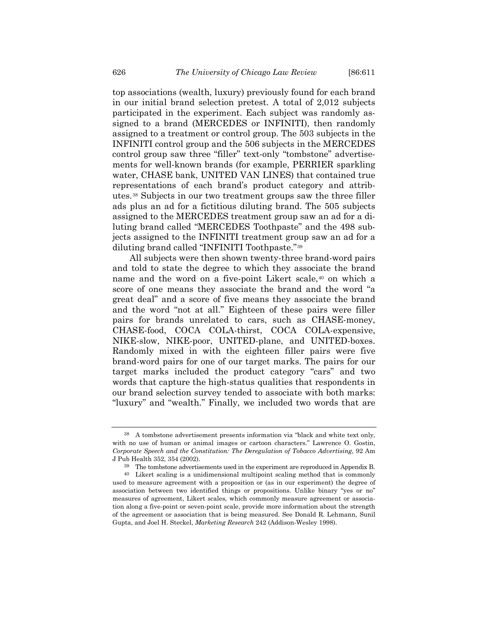top associations (wealth, luxury) previously found for each brand in our initial brand selection pretest. A total of 2,012 subjects participated in the experiment. Each subject was randomly assigned to a brand (MERCEDES or INFINITI), then randomly assigned to a treatment or control group. The 503 subjects in the INFINITI control group and the 506 subjects in the MERCEDES control group saw three "filler" text-only "tombstone" advertisements for well-known brands (for example, PERRIER sparkling water, CHASE bank, UNITED VAN LINES) that contained true representations of each brand's product category and attributes.[38](#page-15-0) Subjects in our two treatment groups saw the three filler ads plus an ad for a fictitious diluting brand. The 505 subjects assigned to the MERCEDES treatment group saw an ad for a diluting brand called "MERCEDES Toothpaste" and the 498 subjects assigned to the INFINITI treatment group saw an ad for a diluting brand called "INFINITI Toothpaste."[39](#page-15-1)

All subjects were then shown twenty-three brand-word pairs and told to state the degree to which they associate the brand name and the word on a five-point Likert scale,<sup>[40](#page-15-2)</sup> on which a score of one means they associate the brand and the word "a great deal" and a score of five means they associate the brand and the word "not at all." Eighteen of these pairs were filler pairs for brands unrelated to cars, such as CHASE-money, CHASE-food, COCA COLA-thirst, COCA COLA-expensive, NIKE-slow, NIKE-poor, UNITED-plane, and UNITED-boxes. Randomly mixed in with the eighteen filler pairs were five brand-word pairs for one of our target marks. The pairs for our target marks included the product category "cars" and two words that capture the high-status qualities that respondents in our brand selection survey tended to associate with both marks: "luxury" and "wealth." Finally, we included two words that are

<span id="page-15-0"></span><sup>38</sup> A tombstone advertisement presents information via "black and white text only, with no use of human or animal images or cartoon characters." Lawrence O. Gostin, *Corporate Speech and the Constitution: The Deregulation of Tobacco Advertising*, 92 Am J Pub Health 352, 354 (2002).

<sup>39</sup> The tombstone advertisements used in the experiment are reproduced in Appendix B.

<span id="page-15-2"></span><span id="page-15-1"></span><sup>40</sup> Likert scaling is a unidimensional multipoint scaling method that is commonly used to measure agreement with a proposition or (as in our experiment) the degree of association between two identified things or propositions. Unlike binary "yes or no" measures of agreement, Likert scales, which commonly measure agreement or association along a five-point or seven-point scale, provide more information about the strength of the agreement or association that is being measured. See Donald R. Lehmann, Sunil Gupta, and Joel H. Steckel, *Marketing Research* 242 (Addison-Wesley 1998).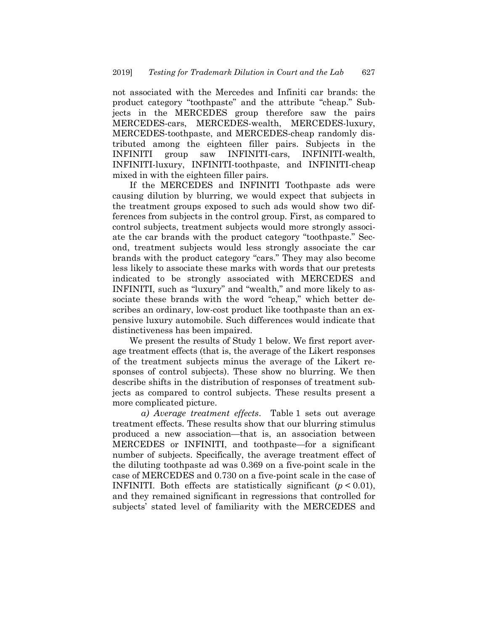not associated with the Mercedes and Infiniti car brands: the product category "toothpaste" and the attribute "cheap." Subjects in the MERCEDES group therefore saw the pairs MERCEDES-cars, MERCEDES-wealth, MERCEDES-luxury, MERCEDES-toothpaste, and MERCEDES-cheap randomly distributed among the eighteen filler pairs. Subjects in the INFINITI group saw INFINITI-cars, INFINITI-wealth, INFINITI-luxury, INFINITI-toothpaste, and INFINITI-cheap mixed in with the eighteen filler pairs.

If the MERCEDES and INFINITI Toothpaste ads were causing dilution by blurring, we would expect that subjects in the treatment groups exposed to such ads would show two differences from subjects in the control group. First, as compared to control subjects, treatment subjects would more strongly associate the car brands with the product category "toothpaste." Second, treatment subjects would less strongly associate the car brands with the product category "cars." They may also become less likely to associate these marks with words that our pretests indicated to be strongly associated with MERCEDES and INFINITI, such as "luxury" and "wealth," and more likely to associate these brands with the word "cheap," which better describes an ordinary, low-cost product like toothpaste than an expensive luxury automobile. Such differences would indicate that distinctiveness has been impaired.

We present the results of Study 1 below. We first report average treatment effects (that is, the average of the Likert responses of the treatment subjects minus the average of the Likert responses of control subjects). These show no blurring. We then describe shifts in the distribution of responses of treatment subjects as compared to control subjects. These results present a more complicated picture.

*a) Average treatment effects*. Table 1 sets out average treatment effects. These results show that our blurring stimulus produced a new association—that is, an association between MERCEDES or INFINITI, and toothpaste—for a significant number of subjects. Specifically, the average treatment effect of the diluting toothpaste ad was 0.369 on a five-point scale in the case of MERCEDES and 0.730 on a five-point scale in the case of INFINITI. Both effects are statistically significant  $(p < 0.01)$ , and they remained significant in regressions that controlled for subjects' stated level of familiarity with the MERCEDES and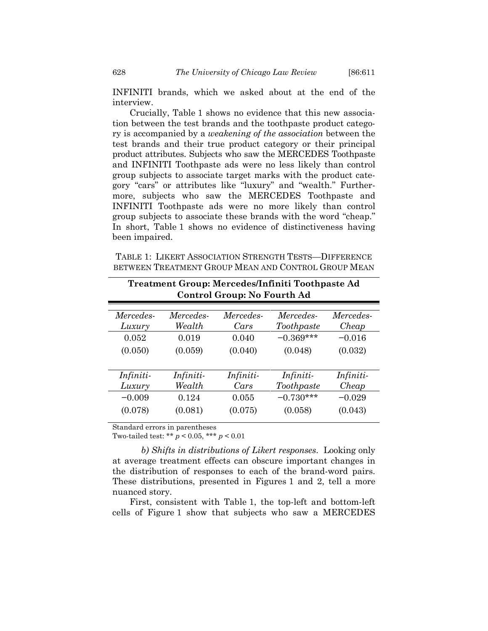INFINITI brands, which we asked about at the end of the interview.

Crucially, Table 1 shows no evidence that this new association between the test brands and the toothpaste product category is accompanied by a *weakening of the association* between the test brands and their true product category or their principal product attributes. Subjects who saw the MERCEDES Toothpaste and INFINITI Toothpaste ads were no less likely than control group subjects to associate target marks with the product category "cars" or attributes like "luxury" and "wealth." Furthermore, subjects who saw the MERCEDES Toothpaste and INFINITI Toothpaste ads were no more likely than control group subjects to associate these brands with the word "cheap." In short, Table 1 shows no evidence of distinctiveness having been impaired.

TABLE 1: LIKERT ASSOCIATION STRENGTH TESTS—DIFFERENCE BETWEEN TREATMENT GROUP MEAN AND CONTROL GROUP MEAN

|                     |                     | <b>Control Group: No Fourth Ad</b> | Treatment Group: Mercedes/Infiniti Toothpaste Ad |                    |
|---------------------|---------------------|------------------------------------|--------------------------------------------------|--------------------|
| Mercedes-<br>Luxury | Mercedes-<br>Wealth | Mercedes-<br>Cars                  | Mercedes-<br>Toothpaste                          | Mercedes-<br>Cheap |
| 0.052               | 0.019               | 0.040                              | $-0.369***$                                      | $-0.016$           |
| (0.050)             | (0.059)             | (0.040)                            | (0.048)                                          | (0.032)            |
|                     |                     |                                    |                                                  |                    |
| Infiniti-           | Infiniti-           | Infiniti-                          | Infiniti-                                        | Infiniti-          |
| Luxury              | Wealth              | Cars                               | Toothpaste                                       | Cheap              |
| $-0.009$            | 0.124               | 0.055                              | $-0.730***$                                      | $-0.029$           |
| (0.078)             | (0.081)             | (0.075)                            | (0.058)                                          | (0.043)            |
|                     |                     |                                    |                                                  |                    |

Standard errors in parentheses

Two-tailed test: \*\* *p* < 0.05, \*\*\* *p* < 0.01

*b) Shifts in distributions of Likert responses*. Looking only at average treatment effects can obscure important changes in the distribution of responses to each of the brand-word pairs. These distributions, presented in Figures 1 and 2, tell a more nuanced story.

First, consistent with Table 1, the top-left and bottom-left cells of Figure 1 show that subjects who saw a MERCEDES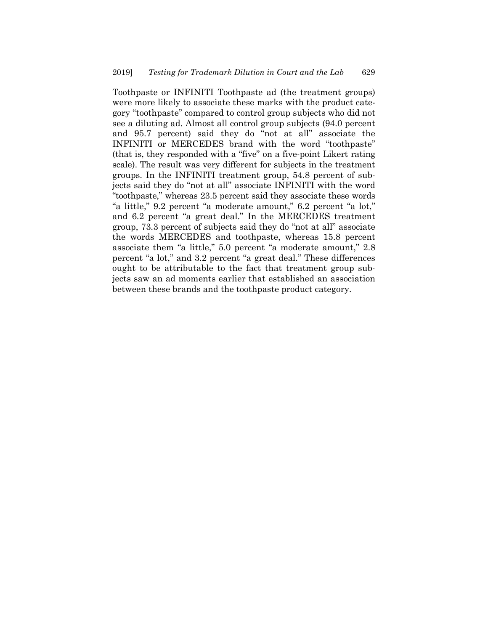Toothpaste or INFINITI Toothpaste ad (the treatment groups) were more likely to associate these marks with the product category "toothpaste" compared to control group subjects who did not see a diluting ad. Almost all control group subjects (94.0 percent and 95.7 percent) said they do "not at all" associate the INFINITI or MERCEDES brand with the word "toothpaste" (that is, they responded with a "five" on a five-point Likert rating scale). The result was very different for subjects in the treatment groups. In the INFINITI treatment group, 54.8 percent of subjects said they do "not at all" associate INFINITI with the word "toothpaste," whereas 23.5 percent said they associate these words "a little," 9.2 percent "a moderate amount," 6.2 percent "a lot," and 6.2 percent "a great deal." In the MERCEDES treatment group, 73.3 percent of subjects said they do "not at all" associate the words MERCEDES and toothpaste, whereas 15.8 percent associate them "a little," 5.0 percent "a moderate amount," 2.8 percent "a lot," and 3.2 percent "a great deal." These differences ought to be attributable to the fact that treatment group subjects saw an ad moments earlier that established an association between these brands and the toothpaste product category.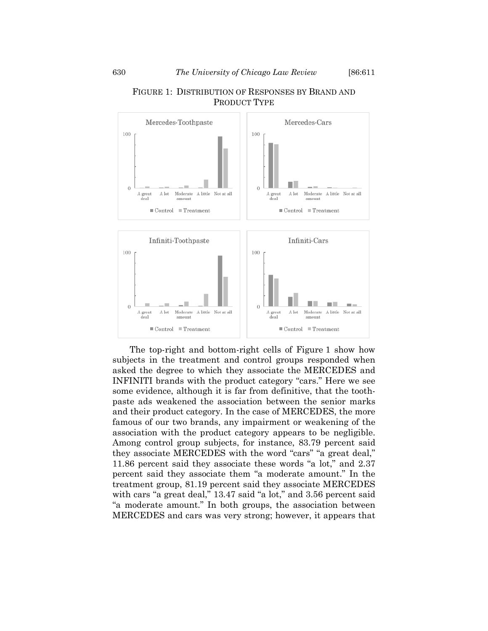# FIGURE 1: DISTRIBUTION OF RESPONSES BY BRAND AND PRODUCT TYPE

The top-right and bottom-right cells of Figure 1 show how subjects in the treatment and control groups responded when asked the degree to which they associate the MERCEDES and INFINITI brands with the product category "cars." Here we see some evidence, although it is far from definitive, that the toothpaste ads weakened the association between the senior marks and their product category. In the case of MERCEDES, the more famous of our two brands, any impairment or weakening of the association with the product category appears to be negligible. Among control group subjects, for instance, 83.79 percent said they associate MERCEDES with the word "cars" "a great deal," 11.86 percent said they associate these words "a lot," and 2.37 percent said they associate them "a moderate amount." In the treatment group, 81.19 percent said they associate MERCEDES with cars "a great deal," 13.47 said "a lot," and 3.56 percent said "a moderate amount." In both groups, the association between MERCEDES and cars was very strong; however, it appears that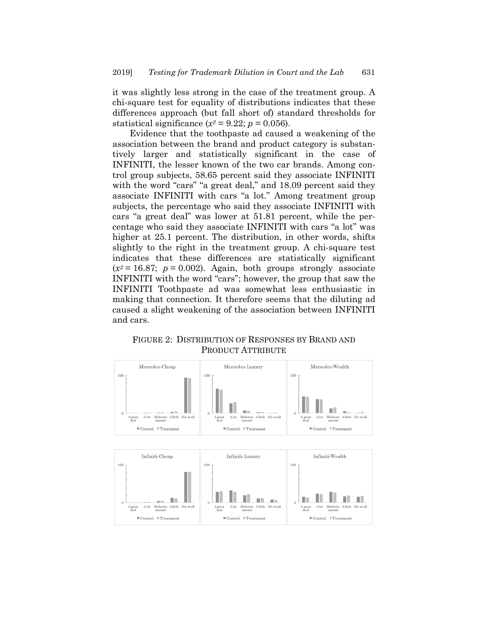it was slightly less strong in the case of the treatment group. A chi-square test for equality of distributions indicates that these differences approach (but fall short of) standard thresholds for statistical significance  $(x^2 = 9.22; p = 0.056)$ .

Evidence that the toothpaste ad caused a weakening of the association between the brand and product category is substantively larger and statistically significant in the case of INFINITI, the lesser known of the two car brands. Among control group subjects, 58.65 percent said they associate INFINITI with the word "cars" "a great deal," and 18.09 percent said they associate INFINITI with cars "a lot." Among treatment group subjects, the percentage who said they associate INFINITI with cars "a great deal" was lower at 51.81 percent, while the percentage who said they associate INFINITI with cars "a lot" was higher at 25.1 percent. The distribution, in other words, shifts slightly to the right in the treatment group. A chi-square test indicates that these differences are statistically significant  $(x^2 = 16.87$ ;  $p = 0.002$ ). Again, both groups strongly associate INFINITI with the word "cars"; however, the group that saw the INFINITI Toothpaste ad was somewhat less enthusiastic in making that connection. It therefore seems that the diluting ad caused a slight weakening of the association between INFINITI and cars.

FIGURE 2: DISTRIBUTION OF RESPONSES BY BRAND AND PRODUCT ATTRIBUTE

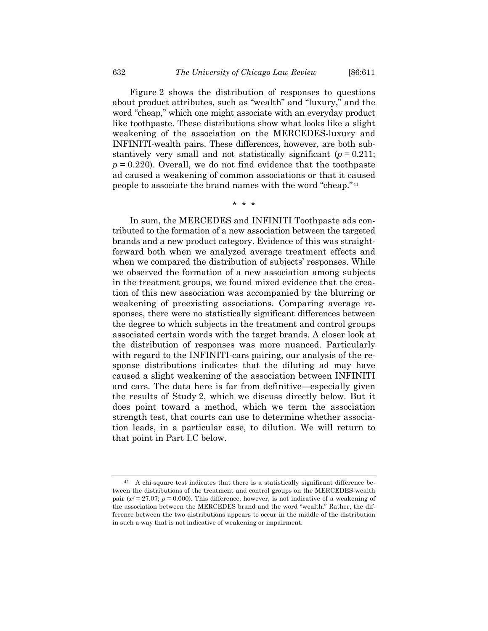Figure 2 shows the distribution of responses to questions about product attributes, such as "wealth" and "luxury," and the word "cheap," which one might associate with an everyday product like toothpaste. These distributions show what looks like a slight weakening of the association on the MERCEDES-luxury and INFINITI-wealth pairs. These differences, however, are both substantively very small and not statistically significant  $(p = 0.211)$ ;  $p = 0.220$ . Overall, we do not find evidence that the toothpaste ad caused a weakening of common associations or that it caused people to associate the brand names with the word "cheap."[41](#page-21-0)

\* \* \*

In sum, the MERCEDES and INFINITI Toothpaste ads contributed to the formation of a new association between the targeted brands and a new product category. Evidence of this was straightforward both when we analyzed average treatment effects and when we compared the distribution of subjects' responses. While we observed the formation of a new association among subjects in the treatment groups, we found mixed evidence that the creation of this new association was accompanied by the blurring or weakening of preexisting associations. Comparing average responses, there were no statistically significant differences between the degree to which subjects in the treatment and control groups associated certain words with the target brands. A closer look at the distribution of responses was more nuanced. Particularly with regard to the INFINITI-cars pairing, our analysis of the response distributions indicates that the diluting ad may have caused a slight weakening of the association between INFINITI and cars. The data here is far from definitive—especially given the results of Study 2, which we discuss directly below. But it does point toward a method, which we term the association strength test, that courts can use to determine whether association leads, in a particular case, to dilution. We will return to that point in Part I.C below.

<span id="page-21-0"></span><sup>41</sup> A chi-square test indicates that there is a statistically significant difference between the distributions of the treatment and control groups on the MERCEDES-wealth pair  $(x^2 = 27.07; p = 0.000)$ . This difference, however, is not indicative of a weakening of the association between the MERCEDES brand and the word "wealth." Rather, the difference between the two distributions appears to occur in the middle of the distribution in such a way that is not indicative of weakening or impairment.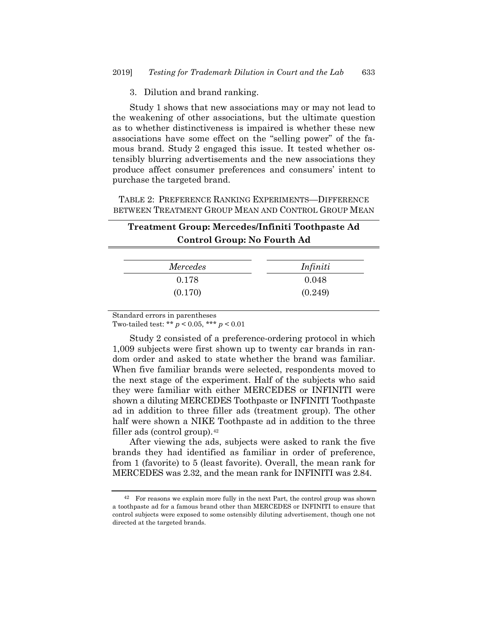3. Dilution and brand ranking.

Study 1 shows that new associations may or may not lead to the weakening of other associations, but the ultimate question as to whether distinctiveness is impaired is whether these new associations have some effect on the "selling power" of the famous brand. Study 2 engaged this issue. It tested whether ostensibly blurring advertisements and the new associations they produce affect consumer preferences and consumers' intent to purchase the targeted brand.

TABLE 2: PREFERENCE RANKING EXPERIMENTS—DIFFERENCE BETWEEN TREATMENT GROUP MEAN AND CONTROL GROUP MEAN

# **Treatment Group: Mercedes/Infiniti Toothpaste Ad Control Group: No Fourth Ad**

| <i>Mercedes</i> | Infiniti |
|-----------------|----------|
| 0.178           | 0.048    |
| (0.170)         | (0.249)  |

Standard errors in parentheses

Two-tailed test: \*\* *p* < 0.05, \*\*\* *p* < 0.01

Study 2 consisted of a preference-ordering protocol in which 1,009 subjects were first shown up to twenty car brands in random order and asked to state whether the brand was familiar. When five familiar brands were selected, respondents moved to the next stage of the experiment. Half of the subjects who said they were familiar with either MERCEDES or INFINITI were shown a diluting MERCEDES Toothpaste or INFINITI Toothpaste ad in addition to three filler ads (treatment group). The other half were shown a NIKE Toothpaste ad in addition to the three filler ads (control group).<sup>[42](#page-22-0)</sup>

After viewing the ads, subjects were asked to rank the five brands they had identified as familiar in order of preference, from 1 (favorite) to 5 (least favorite). Overall, the mean rank for MERCEDES was 2.32, and the mean rank for INFINITI was 2.84.

<span id="page-22-0"></span><sup>42</sup> For reasons we explain more fully in the next Part, the control group was shown a toothpaste ad for a famous brand other than MERCEDES or INFINITI to ensure that control subjects were exposed to some ostensibly diluting advertisement, though one not directed at the targeted brands.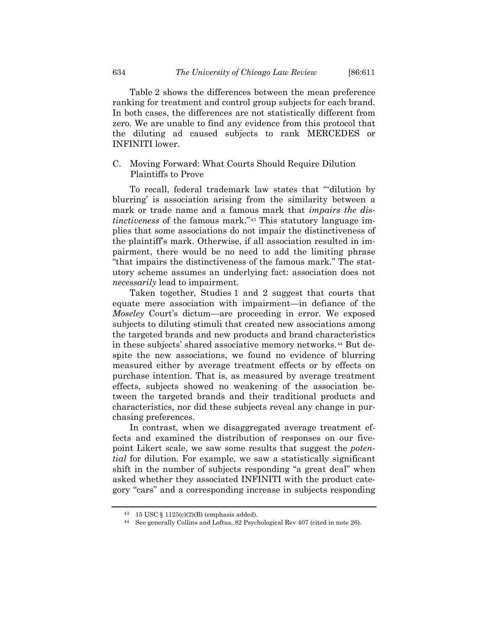Table 2 shows the differences between the mean preference ranking for treatment and control group subjects for each brand. In both cases, the differences are not statistically different from zero. We are unable to find any evidence from this protocol that the diluting ad caused subjects to rank MERCEDES or INFINITI lower.

# C. Moving Forward: What Courts Should Require Dilution Plaintiffs to Prove

To recall, federal trademark law states that "'dilution by blurring' is association arising from the similarity between a mark or trade name and a famous mark that *impairs the distinctiveness* of the famous mark."[43](#page-23-0) This statutory language implies that some associations do not impair the distinctiveness of the plaintiff's mark. Otherwise, if all association resulted in impairment, there would be no need to add the limiting phrase "that impairs the distinctiveness of the famous mark." The statutory scheme assumes an underlying fact: association does not *necessarily* lead to impairment.

Taken together, Studies 1 and 2 suggest that courts that equate mere association with impairment—in defiance of the *Moseley* Court's dictum—are proceeding in error. We exposed subjects to diluting stimuli that created new associations among the targeted brands and new products and brand characteristics in these subjects' shared associative memory networks.[44](#page-23-1) But despite the new associations, we found no evidence of blurring measured either by average treatment effects or by effects on purchase intention. That is, as measured by average treatment effects, subjects showed no weakening of the association between the targeted brands and their traditional products and characteristics, nor did these subjects reveal any change in purchasing preferences.

In contrast, when we disaggregated average treatment effects and examined the distribution of responses on our fivepoint Likert scale, we saw some results that suggest the *potential* for dilution. For example, we saw a statistically significant shift in the number of subjects responding "a great deal" when asked whether they associated INFINITI with the product category "cars" and a corresponding increase in subjects responding

<span id="page-23-0"></span> $43$  15 USC § 1125(c)(2)(B) (emphasis added).

<span id="page-23-1"></span><sup>44</sup> See generally Collins and Loftus, 82 Psychological Rev 407 (cited in note [26\)](#page-10-5).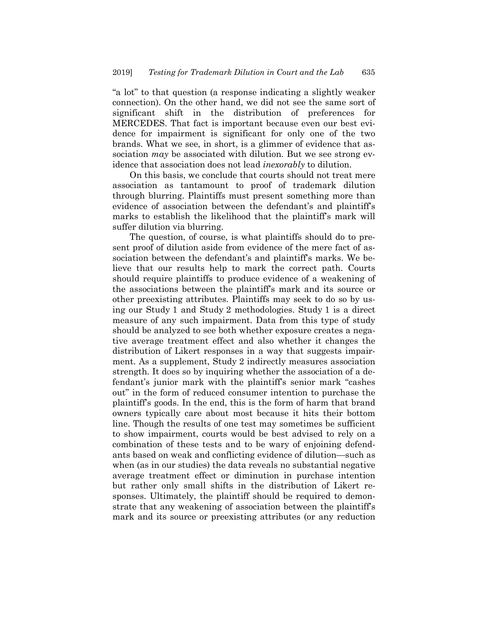"a lot" to that question (a response indicating a slightly weaker connection). On the other hand, we did not see the same sort of significant shift in the distribution of preferences for MERCEDES. That fact is important because even our best evidence for impairment is significant for only one of the two brands. What we see, in short, is a glimmer of evidence that association *may* be associated with dilution. But we see strong evidence that association does not lead *inexorably* to dilution.

On this basis, we conclude that courts should not treat mere association as tantamount to proof of trademark dilution through blurring. Plaintiffs must present something more than evidence of association between the defendant's and plaintiff's marks to establish the likelihood that the plaintiff's mark will suffer dilution via blurring.

The question, of course, is what plaintiffs should do to present proof of dilution aside from evidence of the mere fact of association between the defendant's and plaintiff's marks. We believe that our results help to mark the correct path. Courts should require plaintiffs to produce evidence of a weakening of the associations between the plaintiff's mark and its source or other preexisting attributes. Plaintiffs may seek to do so by using our Study 1 and Study 2 methodologies. Study 1 is a direct measure of any such impairment. Data from this type of study should be analyzed to see both whether exposure creates a negative average treatment effect and also whether it changes the distribution of Likert responses in a way that suggests impairment. As a supplement, Study 2 indirectly measures association strength. It does so by inquiring whether the association of a defendant's junior mark with the plaintiff's senior mark "cashes out" in the form of reduced consumer intention to purchase the plaintiff's goods. In the end, this is the form of harm that brand owners typically care about most because it hits their bottom line. Though the results of one test may sometimes be sufficient to show impairment, courts would be best advised to rely on a combination of these tests and to be wary of enjoining defendants based on weak and conflicting evidence of dilution—such as when (as in our studies) the data reveals no substantial negative average treatment effect or diminution in purchase intention but rather only small shifts in the distribution of Likert responses. Ultimately, the plaintiff should be required to demonstrate that any weakening of association between the plaintiff's mark and its source or preexisting attributes (or any reduction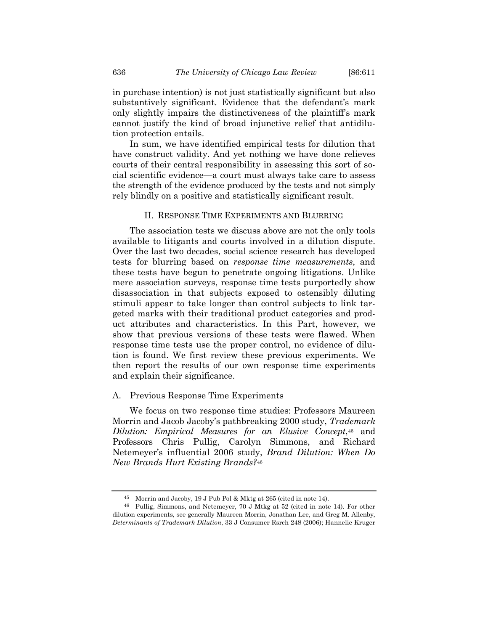in purchase intention) is not just statistically significant but also substantively significant. Evidence that the defendant's mark only slightly impairs the distinctiveness of the plaintiff's mark cannot justify the kind of broad injunctive relief that antidilution protection entails.

In sum, we have identified empirical tests for dilution that have construct validity. And yet nothing we have done relieves courts of their central responsibility in assessing this sort of social scientific evidence—a court must always take care to assess the strength of the evidence produced by the tests and not simply rely blindly on a positive and statistically significant result.

#### II. RESPONSE TIME EXPERIMENTS AND BLURRING

The association tests we discuss above are not the only tools available to litigants and courts involved in a dilution dispute. Over the last two decades, social science research has developed tests for blurring based on *response time measurements*, and these tests have begun to penetrate ongoing litigations. Unlike mere association surveys, response time tests purportedly show disassociation in that subjects exposed to ostensibly diluting stimuli appear to take longer than control subjects to link targeted marks with their traditional product categories and product attributes and characteristics. In this Part, however, we show that previous versions of these tests were flawed. When response time tests use the proper control, no evidence of dilution is found. We first review these previous experiments. We then report the results of our own response time experiments and explain their significance.

#### A. Previous Response Time Experiments

We focus on two response time studies: Professors Maureen Morrin and Jacob Jacoby's pathbreaking 2000 study, *Trademark Dilution: Empirical Measures for an Elusive Concept*,[45](#page-25-0) and Professors Chris Pullig, Carolyn Simmons, and Richard Netemeyer's influential 2006 study, *Brand Dilution: When Do New Brands Hurt Existing Brands?*[46](#page-25-1)

<sup>45</sup> Morrin and Jacoby, 19 J Pub Pol & Mktg at 265 (cited in not[e 14\)](#page-7-1).

<span id="page-25-1"></span><span id="page-25-0"></span><sup>46</sup> Pullig, Simmons, and Netemeyer, 70 J Mtkg at 52 (cited in note [14\)](#page-7-1). For other dilution experiments, see generally Maureen Morrin, Jonathan Lee, and Greg M. Allenby, *Determinants of Trademark Dilution*, 33 J Consumer Rsrch 248 (2006); Hannelie Kruger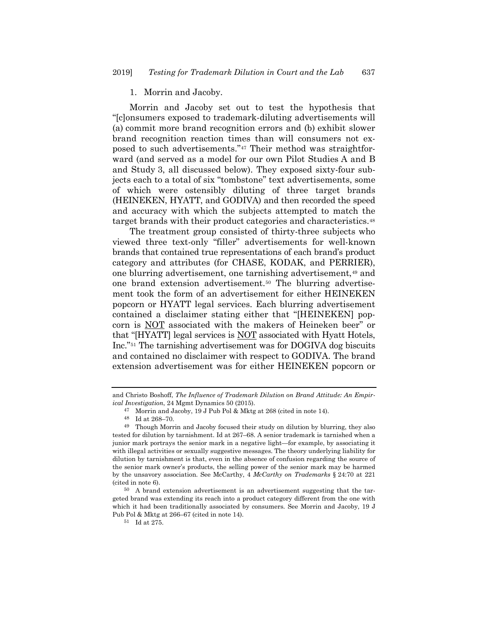#### 1. Morrin and Jacoby.

Morrin and Jacoby set out to test the hypothesis that "[c]onsumers exposed to trademark-diluting advertisements will (a) commit more brand recognition errors and (b) exhibit slower brand recognition reaction times than will consumers not exposed to such advertisements."[47](#page-26-0) Their method was straightforward (and served as a model for our own Pilot Studies A and B and Study 3, all discussed below). They exposed sixty-four subjects each to a total of six "tombstone" text advertisements, some of which were ostensibly diluting of three target brands (HEINEKEN, HYATT, and GODIVA) and then recorded the speed and accuracy with which the subjects attempted to match the target brands with their product categories and characteristics.[48](#page-26-1)

The treatment group consisted of thirty-three subjects who viewed three text-only "filler" advertisements for well-known brands that contained true representations of each brand's product category and attributes (for CHASE, KODAK, and PERRIER), one blurring advertisement, one tarnishing advertisement,[49](#page-26-2) and one brand extension advertisement.[50](#page-26-3) The blurring advertisement took the form of an advertisement for either HEINEKEN popcorn or HYATT legal services. Each blurring advertisement contained a disclaimer stating either that "[HEINEKEN] popcorn is NOT associated with the makers of Heineken beer" or that "[HYATT] legal services is NOT associated with Hyatt Hotels, Inc."[51](#page-26-4) The tarnishing advertisement was for DOGIVA dog biscuits and contained no disclaimer with respect to GODIVA. The brand extension advertisement was for either HEINEKEN popcorn or

and Christo Boshoff, *The Influence of Trademark Dilution on Brand Attitude: An Empirical Investigation*, 24 Mgmt Dynamics 50 (2015).

<sup>47</sup> Morrin and Jacoby, 19 J Pub Pol & Mktg at 268 (cited in not[e 14\)](#page-7-1).

<sup>48</sup> Id at 268–70.

<span id="page-26-2"></span><span id="page-26-1"></span><span id="page-26-0"></span><sup>49</sup> Though Morrin and Jacoby focused their study on dilution by blurring, they also tested for dilution by tarnishment. Id at 267–68. A senior trademark is tarnished when a junior mark portrays the senior mark in a negative light—for example, by associating it with illegal activities or sexually suggestive messages. The theory underlying liability for dilution by tarnishment is that, even in the absence of confusion regarding the source of the senior mark owner's products, the selling power of the senior mark may be harmed by the unsavory association. See McCarthy, 4 *McCarthy on Trademarks* § 24:70 at 221 (cited in not[e 6\)](#page-4-4).

<span id="page-26-4"></span><span id="page-26-3"></span><sup>50</sup> A brand extension advertisement is an advertisement suggesting that the targeted brand was extending its reach into a product category different from the one with which it had been traditionally associated by consumers. See Morrin and Jacoby, 19 J Pub Pol & Mktg at 266–67 (cited in note [14\)](#page-7-1).

<sup>51</sup> Id at 275.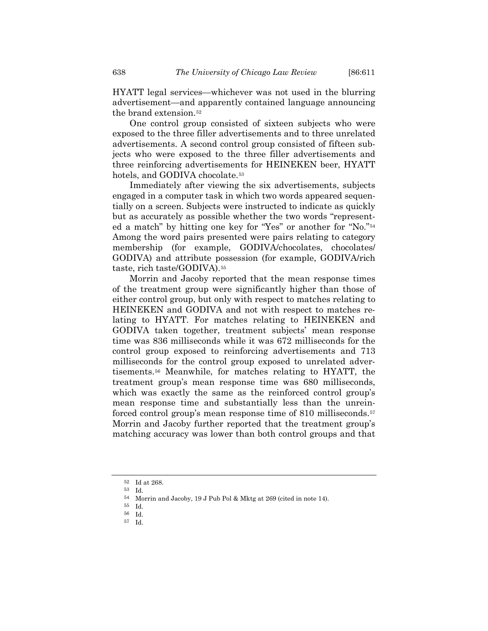HYATT legal services—whichever was not used in the blurring advertisement—and apparently contained language announcing the brand extension.[52](#page-27-0)

One control group consisted of sixteen subjects who were exposed to the three filler advertisements and to three unrelated advertisements. A second control group consisted of fifteen subjects who were exposed to the three filler advertisements and three reinforcing advertisements for HEINEKEN beer, HYATT hotels, and GODIVA chocolate.<sup>[53](#page-27-1)</sup>

Immediately after viewing the six advertisements, subjects engaged in a computer task in which two words appeared sequentially on a screen. Subjects were instructed to indicate as quickly but as accurately as possible whether the two words "represented a match" by hitting one key for "Yes" or another for "No."[54](#page-27-2) Among the word pairs presented were pairs relating to category membership (for example, GODIVA/chocolates, chocolates/ GODIVA) and attribute possession (for example, GODIVA/rich taste, rich taste/GODIVA).[55](#page-27-3)

Morrin and Jacoby reported that the mean response times of the treatment group were significantly higher than those of either control group, but only with respect to matches relating to HEINEKEN and GODIVA and not with respect to matches relating to HYATT. For matches relating to HEINEKEN and GODIVA taken together, treatment subjects' mean response time was 836 milliseconds while it was 672 milliseconds for the control group exposed to reinforcing advertisements and 713 milliseconds for the control group exposed to unrelated advertisements.[56](#page-27-4) Meanwhile, for matches relating to HYATT, the treatment group's mean response time was 680 milliseconds, which was exactly the same as the reinforced control group's mean response time and substantially less than the unreinforced control group's mean response time of 810 milliseconds.[57](#page-27-5) Morrin and Jacoby further reported that the treatment group's matching accuracy was lower than both control groups and that

<span id="page-27-0"></span><sup>52</sup> Id at 268.

<sup>53</sup> Id.

<sup>54</sup> Morrin and Jacoby, 19 J Pub Pol & Mktg at 269 (cited in not[e 14\)](#page-7-1).

<span id="page-27-3"></span><span id="page-27-2"></span><span id="page-27-1"></span><sup>55</sup> Id. 56 Id.

<span id="page-27-5"></span><span id="page-27-4"></span>

<sup>57</sup> Id.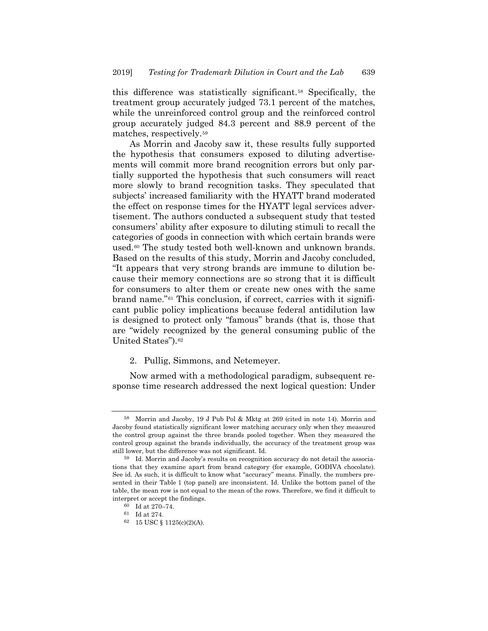this difference was statistically significant.[58](#page-28-0) Specifically, the treatment group accurately judged 73.1 percent of the matches, while the unreinforced control group and the reinforced control group accurately judged 84.3 percent and 88.9 percent of the matches, respectively.[59](#page-28-1)

As Morrin and Jacoby saw it, these results fully supported the hypothesis that consumers exposed to diluting advertisements will commit more brand recognition errors but only partially supported the hypothesis that such consumers will react more slowly to brand recognition tasks. They speculated that subjects' increased familiarity with the HYATT brand moderated the effect on response times for the HYATT legal services advertisement. The authors conducted a subsequent study that tested consumers' ability after exposure to diluting stimuli to recall the categories of goods in connection with which certain brands were used.[60](#page-28-2) The study tested both well-known and unknown brands. Based on the results of this study, Morrin and Jacoby concluded, "It appears that very strong brands are immune to dilution because their memory connections are so strong that it is difficult for consumers to alter them or create new ones with the same brand name."[61](#page-28-3) This conclusion, if correct, carries with it significant public policy implications because federal antidilution law is designed to protect only "famous" brands (that is, those that are "widely recognized by the general consuming public of the United States").[62](#page-28-4)

## 2. Pullig, Simmons, and Netemeyer.

Now armed with a methodological paradigm, subsequent response time research addressed the next logical question: Under

<span id="page-28-0"></span><sup>58</sup> Morrin and Jacoby, 19 J Pub Pol & Mktg at 269 (cited in note [14\)](#page-7-1). Morrin and Jacoby found statistically significant lower matching accuracy only when they measured the control group against the three brands pooled together. When they measured the control group against the brands individually, the accuracy of the treatment group was still lower, but the difference was not significant. Id.

<span id="page-28-2"></span><span id="page-28-1"></span><sup>59</sup> Id. Morrin and Jacoby's results on recognition accuracy do not detail the associations that they examine apart from brand category (for example, GODIVA chocolate). See id. As such, it is difficult to know what "accuracy" means. Finally, the numbers presented in their Table 1 (top panel) are inconsistent. Id. Unlike the bottom panel of the table, the mean row is not equal to the mean of the rows. Therefore, we find it difficult to interpret or accept the findings.

<sup>60</sup> Id at 270–74.

<span id="page-28-4"></span><span id="page-28-3"></span> $^{61}\,$  Id at 274.

<sup>62</sup> 15 USC § 1125(c)(2)(A).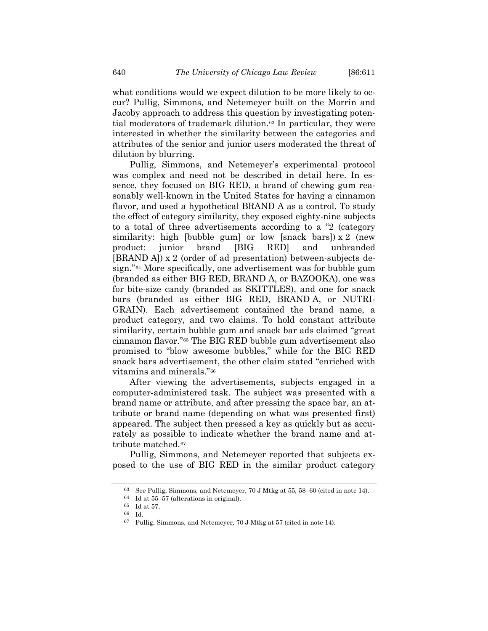what conditions would we expect dilution to be more likely to occur? Pullig, Simmons, and Netemeyer built on the Morrin and Jacoby approach to address this question by investigating potential moderators of trademark dilution.[63](#page-29-0) In particular, they were interested in whether the similarity between the categories and attributes of the senior and junior users moderated the threat of dilution by blurring.

Pullig, Simmons, and Netemeyer's experimental protocol was complex and need not be described in detail here. In essence, they focused on BIG RED, a brand of chewing gum reasonably well-known in the United States for having a cinnamon flavor, and used a hypothetical BRAND A as a control. To study the effect of category similarity, they exposed eighty-nine subjects to a total of three advertisements according to a "2 (category similarity: high [bubble gum] or low [snack bars])  $x$  2 (new product: junior brand [BIG RED] and unbranded [BRAND A]) x 2 (order of ad presentation) between-subjects design."[64](#page-29-1) More specifically, one advertisement was for bubble gum (branded as either BIG RED, BRAND A, or BAZOOKA), one was for bite-size candy (branded as SKITTLES), and one for snack bars (branded as either BIG RED, BRAND A, or NUTRI-GRAIN). Each advertisement contained the brand name, a product category, and two claims. To hold constant attribute similarity, certain bubble gum and snack bar ads claimed "great cinnamon flavor."[65](#page-29-2) The BIG RED bubble gum advertisement also promised to "blow awesome bubbles," while for the BIG RED snack bars advertisement, the other claim stated "enriched with vitamins and minerals."[66](#page-29-3)

After viewing the advertisements, subjects engaged in a computer-administered task. The subject was presented with a brand name or attribute, and after pressing the space bar, an attribute or brand name (depending on what was presented first) appeared. The subject then pressed a key as quickly but as accurately as possible to indicate whether the brand name and at-tribute matched.<sup>[67](#page-29-4)</sup>

<span id="page-29-1"></span><span id="page-29-0"></span>Pullig, Simmons, and Netemeyer reported that subjects exposed to the use of BIG RED in the similar product category

<sup>63</sup> See Pullig, Simmons, and Netemeyer, 70 J Mtkg at 55, 58–60 (cited in not[e 14\)](#page-7-1).

<sup>64</sup> Id at 55–57 (alterations in original).

<span id="page-29-3"></span><span id="page-29-2"></span><sup>65</sup> Id at 57.

<span id="page-29-4"></span><sup>66</sup> Id.

<sup>67</sup> Pullig, Simmons, and Netemeyer, 70 J Mtkg at 57 (cited in not[e 14\)](#page-7-1).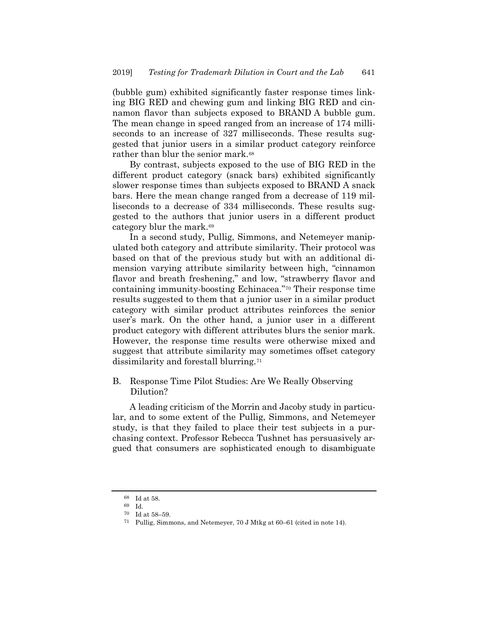<span id="page-30-4"></span>(bubble gum) exhibited significantly faster response times linking BIG RED and chewing gum and linking BIG RED and cinnamon flavor than subjects exposed to BRAND A bubble gum. The mean change in speed ranged from an increase of 174 milliseconds to an increase of 327 milliseconds. These results suggested that junior users in a similar product category reinforce rather than blur the senior mark.[68](#page-30-0)

By contrast, subjects exposed to the use of BIG RED in the different product category (snack bars) exhibited significantly slower response times than subjects exposed to BRAND A snack bars. Here the mean change ranged from a decrease of 119 milliseconds to a decrease of 334 milliseconds. These results suggested to the authors that junior users in a different product category blur the mark.[69](#page-30-1)

In a second study, Pullig, Simmons, and Netemeyer manipulated both category and attribute similarity. Their protocol was based on that of the previous study but with an additional dimension varying attribute similarity between high, "cinnamon flavor and breath freshening," and low, "strawberry flavor and containing immunity-boosting Echinacea."[70](#page-30-2) Their response time results suggested to them that a junior user in a similar product category with similar product attributes reinforces the senior user's mark. On the other hand, a junior user in a different product category with different attributes blurs the senior mark. However, the response time results were otherwise mixed and suggest that attribute similarity may sometimes offset category dissimilarity and forestall blurring.[71](#page-30-3)

B. Response Time Pilot Studies: Are We Really Observing Dilution?

A leading criticism of the Morrin and Jacoby study in particular, and to some extent of the Pullig, Simmons, and Netemeyer study, is that they failed to place their test subjects in a purchasing context. Professor Rebecca Tushnet has persuasively argued that consumers are sophisticated enough to disambiguate

<span id="page-30-1"></span><span id="page-30-0"></span><sup>68</sup> Id at 58.

<span id="page-30-3"></span><span id="page-30-2"></span><sup>69</sup> Id.

 $^{70}\;$  Id at 58–59.

<sup>71</sup> Pullig, Simmons, and Netemeyer, 70 J Mtkg at 60–61 (cited in note [14\)](#page-7-1).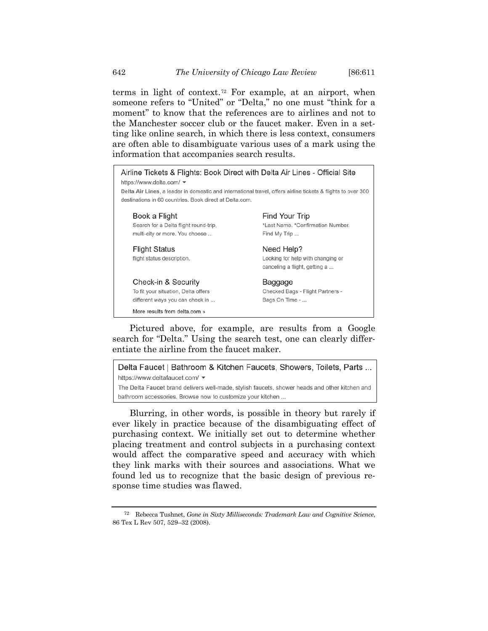terms in light of context.[72](#page-31-0) For example, at an airport, when someone refers to "United" or "Delta," no one must "think for a moment" to know that the references are to airlines and not to the Manchester soccer club or the faucet maker. Even in a setting like online search, in which there is less context, consumers are often able to disambiguate various uses of a mark using the information that accompanies search results.



Pictured above, for example, are results from a Google search for "Delta." Using the search test, one can clearly differentiate the airline from the faucet maker.

Delta Faucet | Bathroom & Kitchen Faucets, Showers, Toilets, Parts ... https://www.deltafaucet.com/ v The Delta Faucet brand delivers well-made, stylish faucets, shower heads and other kitchen and bathroom accessories. Browse now to customize your kitchen ...

Blurring, in other words, is possible in theory but rarely if ever likely in practice because of the disambiguating effect of purchasing context. We initially set out to determine whether placing treatment and control subjects in a purchasing context would affect the comparative speed and accuracy with which they link marks with their sources and associations. What we found led us to recognize that the basic design of previous response time studies was flawed.

<span id="page-31-0"></span><sup>72</sup> Rebecca Tushnet, *Gone in Sixty Milliseconds: Trademark Law and Cognitive Science*, 86 Tex L Rev 507, 529–32 (2008).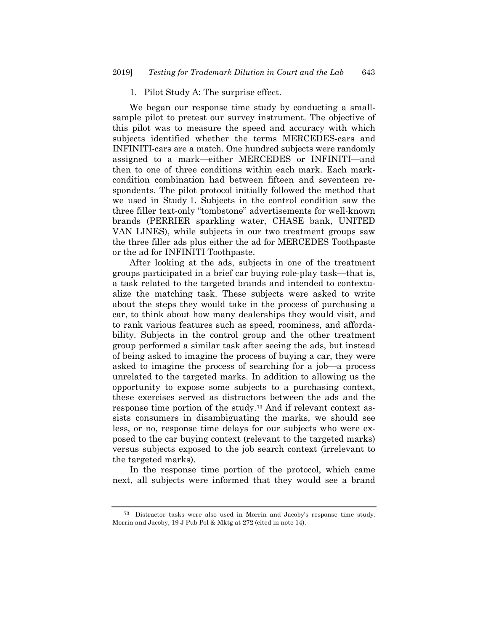#### 1. Pilot Study A: The surprise effect.

We began our response time study by conducting a smallsample pilot to pretest our survey instrument. The objective of this pilot was to measure the speed and accuracy with which subjects identified whether the terms MERCEDES-cars and INFINITI-cars are a match. One hundred subjects were randomly assigned to a mark—either MERCEDES or INFINITI—and then to one of three conditions within each mark. Each markcondition combination had between fifteen and seventeen respondents. The pilot protocol initially followed the method that we used in Study 1. Subjects in the control condition saw the three filler text-only "tombstone" advertisements for well-known brands (PERRIER sparkling water, CHASE bank, UNITED VAN LINES), while subjects in our two treatment groups saw the three filler ads plus either the ad for MERCEDES Toothpaste or the ad for INFINITI Toothpaste.

After looking at the ads, subjects in one of the treatment groups participated in a brief car buying role-play task—that is, a task related to the targeted brands and intended to contextualize the matching task. These subjects were asked to write about the steps they would take in the process of purchasing a car, to think about how many dealerships they would visit, and to rank various features such as speed, roominess, and affordability. Subjects in the control group and the other treatment group performed a similar task after seeing the ads, but instead of being asked to imagine the process of buying a car, they were asked to imagine the process of searching for a job—a process unrelated to the targeted marks. In addition to allowing us the opportunity to expose some subjects to a purchasing context, these exercises served as distractors between the ads and the response time portion of the study.[73](#page-32-0) And if relevant context assists consumers in disambiguating the marks, we should see less, or no, response time delays for our subjects who were exposed to the car buying context (relevant to the targeted marks) versus subjects exposed to the job search context (irrelevant to the targeted marks).

In the response time portion of the protocol, which came next, all subjects were informed that they would see a brand

<span id="page-32-0"></span><sup>73</sup> Distractor tasks were also used in Morrin and Jacoby's response time study. Morrin and Jacoby, 19 J Pub Pol & Mktg at 272 (cited in not[e 14\)](#page-7-1).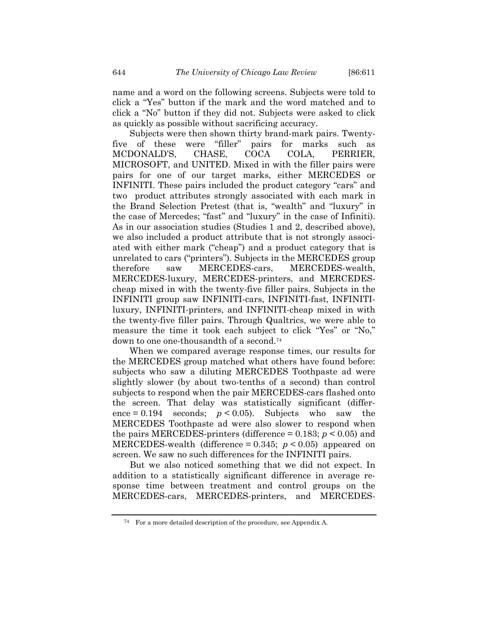name and a word on the following screens. Subjects were told to click a "Yes" button if the mark and the word matched and to click a "No" button if they did not. Subjects were asked to click as quickly as possible without sacrificing accuracy.

Subjects were then shown thirty brand-mark pairs. Twentyfive of these were "filler" pairs for marks such as MCDONALD'S, CHASE, COCA COLA, PERRIER, MICROSOFT, and UNITED. Mixed in with the filler pairs were pairs for one of our target marks, either MERCEDES or INFINITI. These pairs included the product category "cars" and two product attributes strongly associated with each mark in the Brand Selection Pretest (that is, "wealth" and "luxury" in the case of Mercedes; "fast" and "luxury" in the case of Infiniti). As in our association studies (Studies 1 and 2, described above), we also included a product attribute that is not strongly associated with either mark ("cheap") and a product category that is unrelated to cars ("printers"). Subjects in the MERCEDES group therefore saw MERCEDES-cars, MERCEDES-wealth, MERCEDES-luxury, MERCEDES-printers, and MERCEDEScheap mixed in with the twenty-five filler pairs. Subjects in the INFINITI group saw INFINITI-cars, INFINITI-fast, INFINITIluxury, INFINITI-printers, and INFINITI-cheap mixed in with the twenty-five filler pairs. Through Qualtrics, we were able to measure the time it took each subject to click "Yes" or "No," down to one one-thousandth of a second.[74](#page-33-0)

When we compared average response times, our results for the MERCEDES group matched what others have found before: subjects who saw a diluting MERCEDES Toothpaste ad were slightly slower (by about two-tenths of a second) than control subjects to respond when the pair MERCEDES-cars flashed onto the screen. That delay was statistically significant (differ- $\text{ence} = 0.194$  seconds;  $p < 0.05$ ). Subjects who saw the MERCEDES Toothpaste ad were also slower to respond when the pairs MERCEDES-printers (difference  $= 0.183$ ;  $p \le 0.05$ ) and MERCEDES-wealth (difference = 0.345; *p* < 0.05) appeared on screen. We saw no such differences for the INFINITI pairs.

But we also noticed something that we did not expect. In addition to a statistically significant difference in average response time between treatment and control groups on the MERCEDES-cars, MERCEDES-printers, and MERCEDES-

<span id="page-33-0"></span><sup>74</sup> For a more detailed description of the procedure, see Appendix A.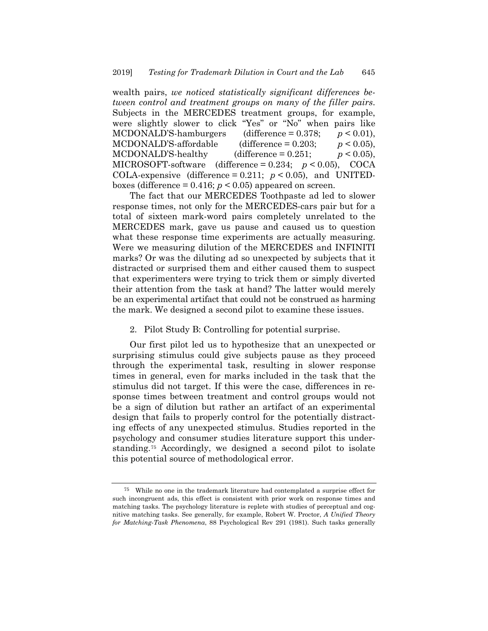wealth pairs, *we noticed statistically significant differences between control and treatment groups on many of the filler pairs*. Subjects in the MERCEDES treatment groups, for example, were slightly slower to click "Yes" or "No" when pairs like MCDONALD'S-hamburgers (difference  $= 0.378$ ;  $p < 0.01$ ), MCDONALD'S-affordable (difference  $= 0.203$ ;  $p < 0.05$ ), MCDONALD'S-healthy (difference  $= 0.251$ ;  $p < 0.05$ ), MICROSOFT-software (difference = 0.234; *p* < 0.05), COCA COLA-expensive (difference =  $0.211$ ;  $p < 0.05$ ), and UNITEDboxes (difference  $= 0.416$ ;  $p \le 0.05$ ) appeared on screen.

The fact that our MERCEDES Toothpaste ad led to slower response times, not only for the MERCEDES-cars pair but for a total of sixteen mark-word pairs completely unrelated to the MERCEDES mark, gave us pause and caused us to question what these response time experiments are actually measuring. Were we measuring dilution of the MERCEDES and INFINITI marks? Or was the diluting ad so unexpected by subjects that it distracted or surprised them and either caused them to suspect that experimenters were trying to trick them or simply diverted their attention from the task at hand? The latter would merely be an experimental artifact that could not be construed as harming the mark. We designed a second pilot to examine these issues.

2. Pilot Study B: Controlling for potential surprise.

Our first pilot led us to hypothesize that an unexpected or surprising stimulus could give subjects pause as they proceed through the experimental task, resulting in slower response times in general, even for marks included in the task that the stimulus did not target. If this were the case, differences in response times between treatment and control groups would not be a sign of dilution but rather an artifact of an experimental design that fails to properly control for the potentially distracting effects of any unexpected stimulus. Studies reported in the psychology and consumer studies literature support this understanding.[75](#page-34-0) Accordingly, we designed a second pilot to isolate this potential source of methodological error.

<span id="page-34-1"></span><span id="page-34-0"></span><sup>75</sup> While no one in the trademark literature had contemplated a surprise effect for such incongruent ads, this effect is consistent with prior work on response times and matching tasks. The psychology literature is replete with studies of perceptual and cognitive matching tasks. See generally, for example, Robert W. Proctor, *A Unified Theory for Matching-Task Phenomena*, 88 Psychological Rev 291 (1981). Such tasks generally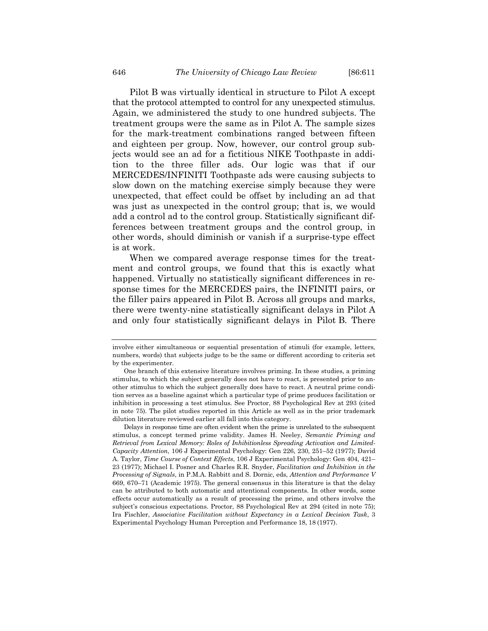Pilot B was virtually identical in structure to Pilot A except that the protocol attempted to control for any unexpected stimulus. Again, we administered the study to one hundred subjects. The treatment groups were the same as in Pilot A. The sample sizes for the mark-treatment combinations ranged between fifteen and eighteen per group. Now, however, our control group subjects would see an ad for a fictitious NIKE Toothpaste in addition to the three filler ads. Our logic was that if our MERCEDES/INFINITI Toothpaste ads were causing subjects to slow down on the matching exercise simply because they were unexpected, that effect could be offset by including an ad that was just as unexpected in the control group; that is, we would add a control ad to the control group. Statistically significant differences between treatment groups and the control group, in other words, should diminish or vanish if a surprise-type effect is at work.

When we compared average response times for the treatment and control groups, we found that this is exactly what happened. Virtually no statistically significant differences in response times for the MERCEDES pairs, the INFINITI pairs, or the filler pairs appeared in Pilot B. Across all groups and marks, there were twenty-nine statistically significant delays in Pilot A and only four statistically significant delays in Pilot B. There

involve either simultaneous or sequential presentation of stimuli (for example, letters, numbers, words) that subjects judge to be the same or different according to criteria set by the experimenter.

One branch of this extensive literature involves priming. In these studies, a priming stimulus, to which the subject generally does not have to react, is presented prior to another stimulus to which the subject generally does have to react. A neutral prime condition serves as a baseline against which a particular type of prime produces facilitation or inhibition in processing a test stimulus. See Proctor, 88 Psychological Rev at 293 (cited in note [75\)](#page-34-1). The pilot studies reported in this Article as well as in the prior trademark dilution literature reviewed earlier all fall into this category.

Delays in response time are often evident when the prime is unrelated to the subsequent stimulus, a concept termed prime validity. James H. Neeley, *Semantic Priming and Retrieval from Lexical Memory: Roles of Inhibitionless Spreading Activation and Limited-Capacity Attention*, 106 J Experimental Psychology: Gen 226, 230, 251–52 (1977); David A. Taylor, *Time Course of Context Effects*, 106 J Experimental Psychology: Gen 404, 421– 23 (1977); Michael I. Posner and Charles R.R. Snyder, *Facilitation and Inhibition in the Processing of Signals*, in P.M.A. Rabbitt and S. Dornic, eds, *Attention and Performance V* 669, 670–71 (Academic 1975). The general consensus in this literature is that the delay can be attributed to both automatic and attentional components. In other words, some effects occur automatically as a result of processing the prime, and others involve the subject's conscious expectations. Proctor, 88 Psychological Rev at 294 (cited in note [75\)](#page-34-1); Ira Fischler, *Associative Facilitation without Expectancy in a Lexical Decision Task*, 3 Experimental Psychology Human Perception and Performance 18, 18 (1977).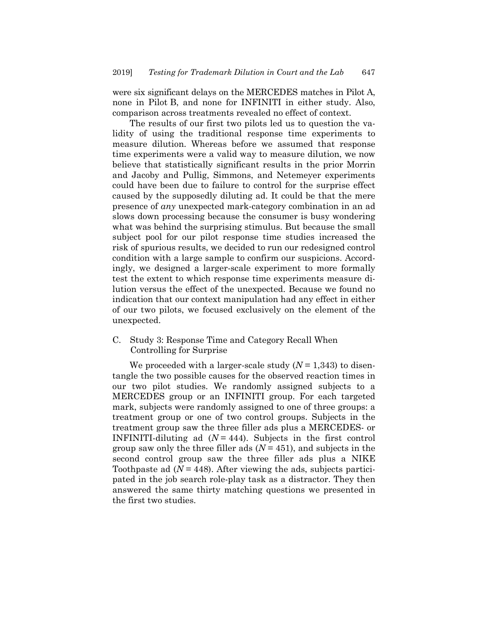were six significant delays on the MERCEDES matches in Pilot A, none in Pilot B, and none for INFINITI in either study. Also, comparison across treatments revealed no effect of context.

The results of our first two pilots led us to question the validity of using the traditional response time experiments to measure dilution. Whereas before we assumed that response time experiments were a valid way to measure dilution, we now believe that statistically significant results in the prior Morrin and Jacoby and Pullig, Simmons, and Netemeyer experiments could have been due to failure to control for the surprise effect caused by the supposedly diluting ad. It could be that the mere presence of *any* unexpected mark-category combination in an ad slows down processing because the consumer is busy wondering what was behind the surprising stimulus. But because the small subject pool for our pilot response time studies increased the risk of spurious results, we decided to run our redesigned control condition with a large sample to confirm our suspicions. Accordingly, we designed a larger-scale experiment to more formally test the extent to which response time experiments measure dilution versus the effect of the unexpected. Because we found no indication that our context manipulation had any effect in either of our two pilots, we focused exclusively on the element of the unexpected.

C. Study 3: Response Time and Category Recall When Controlling for Surprise

We proceeded with a larger-scale study (*N* = 1,343) to disentangle the two possible causes for the observed reaction times in our two pilot studies. We randomly assigned subjects to a MERCEDES group or an INFINITI group. For each targeted mark, subjects were randomly assigned to one of three groups: a treatment group or one of two control groups. Subjects in the treatment group saw the three filler ads plus a MERCEDES- or INFINITI-diluting ad  $(N = 444)$ . Subjects in the first control group saw only the three filler ads  $(N = 451)$ , and subjects in the second control group saw the three filler ads plus a NIKE Toothpaste ad  $(N = 448)$ . After viewing the ads, subjects participated in the job search role-play task as a distractor. They then answered the same thirty matching questions we presented in the first two studies.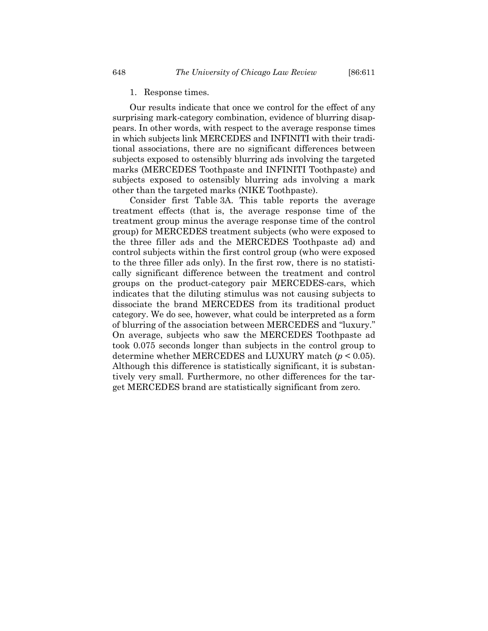1. Response times.

Our results indicate that once we control for the effect of any surprising mark-category combination, evidence of blurring disappears. In other words, with respect to the average response times in which subjects link MERCEDES and INFINITI with their traditional associations, there are no significant differences between subjects exposed to ostensibly blurring ads involving the targeted marks (MERCEDES Toothpaste and INFINITI Toothpaste) and subjects exposed to ostensibly blurring ads involving a mark other than the targeted marks (NIKE Toothpaste).

Consider first Table 3A. This table reports the average treatment effects (that is, the average response time of the treatment group minus the average response time of the control group) for MERCEDES treatment subjects (who were exposed to the three filler ads and the MERCEDES Toothpaste ad) and control subjects within the first control group (who were exposed to the three filler ads only). In the first row, there is no statistically significant difference between the treatment and control groups on the product-category pair MERCEDES-cars, which indicates that the diluting stimulus was not causing subjects to dissociate the brand MERCEDES from its traditional product category. We do see, however, what could be interpreted as a form of blurring of the association between MERCEDES and "luxury." On average, subjects who saw the MERCEDES Toothpaste ad took 0.075 seconds longer than subjects in the control group to determine whether MERCEDES and LUXURY match (*p* < 0.05). Although this difference is statistically significant, it is substantively very small. Furthermore, no other differences for the target MERCEDES brand are statistically significant from zero.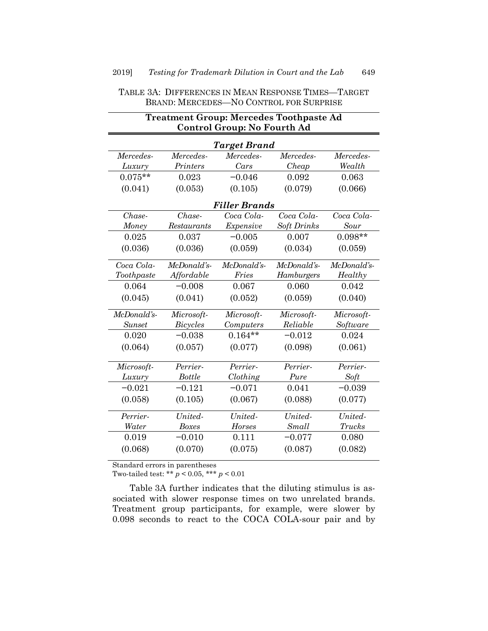|               | <b>Treatment Group: Mercedes Toothpaste Ad</b><br>Control Group: No Fourth Ad |                      |                    |             |
|---------------|-------------------------------------------------------------------------------|----------------------|--------------------|-------------|
|               |                                                                               | Target Brand         |                    |             |
| Mercedes-     | Mercedes-                                                                     | Mercedes-            | Mercedes-          | Mercedes-   |
| Luxury        | Printers                                                                      | Cars                 | Cheap              | Wealth      |
| $0.075**$     | 0.023                                                                         | $-0.046$             | 0.092              | 0.063       |
| (0.041)       | (0.053)                                                                       | (0.105)              | (0.079)            | (0.066)     |
|               |                                                                               | <b>Filler Brands</b> |                    |             |
| Chase-        | Chase-                                                                        | Coca Cola-           | Coca Cola-         | Coca Cola-  |
| Money         | Restaurants                                                                   | Expensive            | <b>Soft Drinks</b> | Sour        |
| 0.025         | 0.037                                                                         | $-0.005$             | 0.007              | $0.098**$   |
| (0.036)       | (0.036)                                                                       | (0.059)              | (0.034)            | (0.059)     |
| Coca Cola-    | McDonald's-                                                                   | McDonald's-          | McDonald's-        | McDonald's- |
| Toothpaste    | Affordable                                                                    | Fries                | Hamburgers         | Healthy     |
| 0.064         | $-0.008$                                                                      | 0.067                | 0.060              | 0.042       |
| (0.045)       | (0.041)                                                                       | (0.052)              | (0.059)            | (0.040)     |
| McDonald's-   | Microsoft-                                                                    | Microsoft-           | Microsoft-         | Microsoft-  |
| <b>Sunset</b> | Bicycles                                                                      | Computers            | Reliable           | Software    |
| 0.020         | $-0.038$                                                                      | $0.164**$            | $-0.012$           | 0.024       |
| (0.064)       | (0.057)                                                                       | (0.077)              | (0.098)            | (0.061)     |
| Microsoft-    | Perrier-                                                                      | Perrier-             | Perrier-           | Perrier-    |
| Luxury        | <b>Bottle</b>                                                                 | Clothing             | Pure               | Soft        |
| $-0.021$      | $-0.121$                                                                      | $-0.071$             | 0.041              | $-0.039$    |
| (0.058)       | (0.105)                                                                       | (0.067)              | (0.088)            | (0.077)     |
| Perrier-      | United-                                                                       | United-              | United-            | United-     |
| Water         | <b>Boxes</b>                                                                  | Horses               | Small              | Trucks      |
| 0.019         | $-0.010$                                                                      | 0.111                | $-0.077$           | 0.080       |
| (0.068)       | (0.070)                                                                       | (0.075)              | (0.087)            | (0.082)     |

TABLE 3A: DIFFERENCES IN MEAN RESPONSE TIMES—TARGET BRAND: MERCEDES—NO CONTROL FOR SURPRISE

Standard errors in parentheses

Two-tailed test: \*\* *p* < 0.05, \*\*\* *p* < 0.01

Table 3A further indicates that the diluting stimulus is associated with slower response times on two unrelated brands. Treatment group participants, for example, were slower by 0.098 seconds to react to the COCA COLA-sour pair and by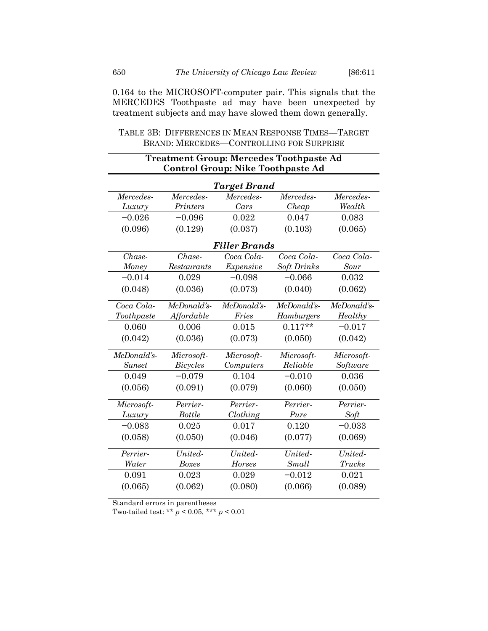0.164 to the MICROSOFT-computer pair. This signals that the MERCEDES Toothpaste ad may have been unexpected by treatment subjects and may have slowed them down generally.

| TABLE 3B: DIFFERENCES IN MEAN RESPONSE TIMES—TARGET |  |  |
|-----------------------------------------------------|--|--|
| BRAND: MERCEDES-CONTROLLING FOR SURPRISE            |  |  |

|               | Treatment Group: Mercedes Toothpaste Ad<br><b>Control Group: Nike Toothpaste Ad</b> |                      |             |               |
|---------------|-------------------------------------------------------------------------------------|----------------------|-------------|---------------|
|               |                                                                                     | <b>Target Brand</b>  |             |               |
| Mercedes-     | Mercedes-                                                                           | Mercedes-            | Mercedes-   | Mercedes-     |
| Luxury        | Printers                                                                            | Cars                 | Cheap       | Wealth        |
| $-0.026$      | $-0.096$                                                                            | 0.022                | 0.047       | 0.083         |
| (0.096)       | (0.129)                                                                             | (0.037)              | (0.103)     | (0.065)       |
|               |                                                                                     | <b>Filler Brands</b> |             |               |
| Chase-        | Chase-                                                                              | Coca Cola-           | Coca Cola-  | Coca Cola-    |
| Money         | Restaurants                                                                         | Expensive            | Soft Drinks | Sour          |
| $-0.014$      | 0.029                                                                               | $-0.098$             | $-0.066$    | 0.032         |
| (0.048)       | (0.036)                                                                             | (0.073)              | (0.040)     | (0.062)       |
| Coca Cola-    | McDonald's-                                                                         | McDonald's-          | McDonald's- | McDonald's-   |
| Toothpaste    | Affordable                                                                          | Fries                | Hamburgers  | Healthy       |
| 0.060         | 0.006                                                                               | 0.015                | $0.117**$   | $-0.017$      |
| (0.042)       | (0.036)                                                                             | (0.073)              | (0.050)     | (0.042)       |
| McDonald's-   | Microsoft-                                                                          | Microsoft-           | Microsoft-  | Microsoft-    |
| <b>Sunset</b> | <b>Bicycles</b>                                                                     | Computers            | Reliable    | Software      |
| 0.049         | $-0.079$                                                                            | 0.104                | $-0.010$    | 0.036         |
| (0.056)       | (0.091)                                                                             | (0.079)              | (0.060)     | (0.050)       |
| Microsoft-    | Perrier-                                                                            | Perrier-             | Perrier-    | Perrier-      |
| Luxury        | <b>Bottle</b>                                                                       | Clothing             | Pure        | Soft          |
| $-0.083$      | 0.025                                                                               | 0.017                | 0.120       | $-0.033$      |
| (0.058)       | (0.050)                                                                             | (0.046)              | (0.077)     | (0.069)       |
| Perrier-      | United-                                                                             | United-              | United-     | United-       |
| Water         | <b>Boxes</b>                                                                        | Horses               | Small       | <b>Trucks</b> |
| 0.091         | 0.023                                                                               | 0.029                | $-0.012$    | 0.021         |
| (0.065)       | (0.062)                                                                             | (0.080)              | (0.066)     | (0.089)       |

Standard errors in parentheses

Two-tailed test: \*\* *p* < 0.05, \*\*\* *p* < 0.01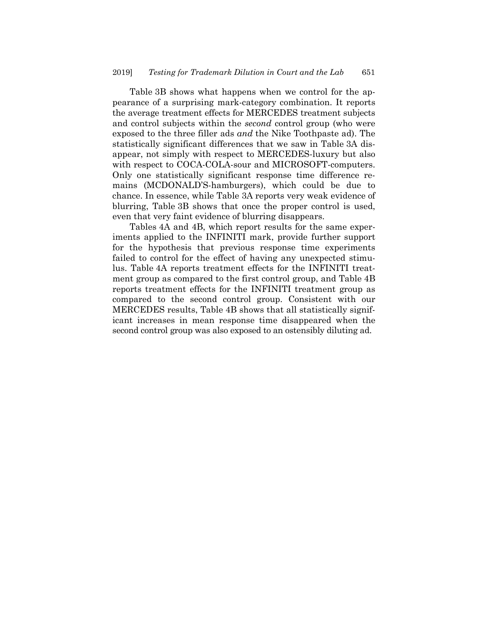Table 3B shows what happens when we control for the appearance of a surprising mark-category combination. It reports the average treatment effects for MERCEDES treatment subjects and control subjects within the *second* control group (who were exposed to the three filler ads *and* the Nike Toothpaste ad). The statistically significant differences that we saw in Table 3A disappear, not simply with respect to MERCEDES-luxury but also with respect to COCA-COLA-sour and MICROSOFT-computers. Only one statistically significant response time difference remains (MCDONALD'S-hamburgers), which could be due to chance. In essence, while Table 3A reports very weak evidence of blurring, Table 3B shows that once the proper control is used, even that very faint evidence of blurring disappears.

Tables 4A and 4B, which report results for the same experiments applied to the INFINITI mark, provide further support for the hypothesis that previous response time experiments failed to control for the effect of having any unexpected stimulus. Table 4A reports treatment effects for the INFINITI treatment group as compared to the first control group, and Table 4B reports treatment effects for the INFINITI treatment group as compared to the second control group. Consistent with our MERCEDES results, Table 4B shows that all statistically significant increases in mean response time disappeared when the second control group was also exposed to an ostensibly diluting ad.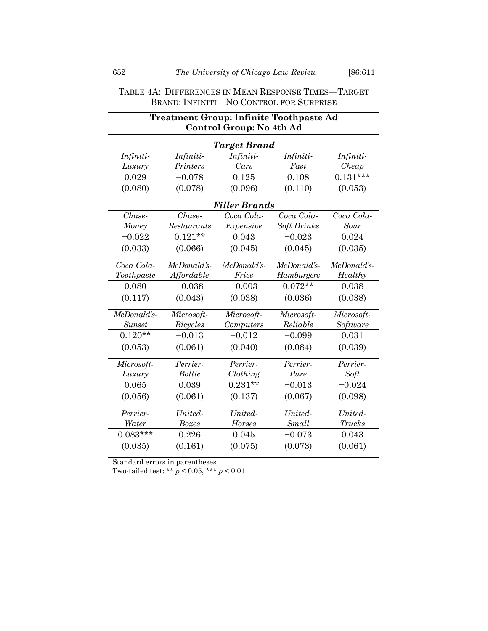# TABLE 4A: DIFFERENCES IN MEAN RESPONSE TIMES—TARGET BRAND: INFINITI—NO CONTROL FOR SURPRISE

|               | <b>Treatment Group: Infinite Toothpaste Ad</b><br>Control Group: No 4th Ad |                      |             |               |
|---------------|----------------------------------------------------------------------------|----------------------|-------------|---------------|
|               |                                                                            | Target Brand         |             |               |
| Infiniti-     | Infiniti-                                                                  | Infiniti-            | Infiniti-   | Infiniti-     |
| Luxury        | Printers                                                                   | Cars                 | Fast        | Cheap         |
| 0.029         | $-0.078$                                                                   | 0.125                | 0.108       | $0.131***$    |
| (0.080)       | (0.078)                                                                    | (0.096)              | (0.110)     | (0.053)       |
|               |                                                                            | <b>Filler Brands</b> |             |               |
| Chase-        | Chase-                                                                     | Coca Cola-           | Coca Cola-  | Coca Cola-    |
| Money         | Restaurants                                                                | Expensive            | Soft Drinks | Sour          |
| $-0.022$      | $0.121**$                                                                  | 0.043                | $-0.023$    | 0.024         |
| (0.033)       | (0.066)                                                                    | (0.045)              | (0.045)     | (0.035)       |
| Coca Cola-    | McDonald's-                                                                | McDonald's-          | McDonald's- | McDonald's-   |
| Toothpaste    | Affordable                                                                 | Fries                | Hamburgers  | Healthy       |
| 0.080         | $-0.038$                                                                   | $-0.003$             | $0.072**$   | 0.038         |
| (0.117)       | (0.043)                                                                    | (0.038)              | (0.036)     | (0.038)       |
| McDonald's-   | Microsoft-                                                                 | Microsoft-           | Microsoft-  | Microsoft-    |
| <b>Sunset</b> | <b>Bicycles</b>                                                            | Computers            | Reliable    | Software      |
| $0.120**$     | $-0.013$                                                                   | $-0.012$             | $-0.099$    | 0.031         |
| (0.053)       | (0.061)                                                                    | (0.040)              | (0.084)     | (0.039)       |
| Microsoft-    | Perrier-                                                                   | Perrier-             | Perrier-    | Perrier-      |
| Luxury        | <b>Bottle</b>                                                              | Clothing             | Pure        | Soft          |
| 0.065         | 0.039                                                                      | $0.231**$            | $-0.013$    | $-0.024$      |
| (0.056)       | (0.061)                                                                    | (0.137)              | (0.067)     | (0.098)       |
| Perrier-      | United-                                                                    | United-              | United-     | United-       |
| Water         | <b>Boxes</b>                                                               | Horses               | Small       | <b>Trucks</b> |
| $0.083***$    | 0.226                                                                      | 0.045                | $-0.073$    | 0.043         |
| (0.035)       | (0.161)                                                                    | (0.075)              | (0.073)     | (0.061)       |

Standard errors in parentheses

Two-tailed test: \*\* *p* < 0.05, \*\*\* *p* < 0.01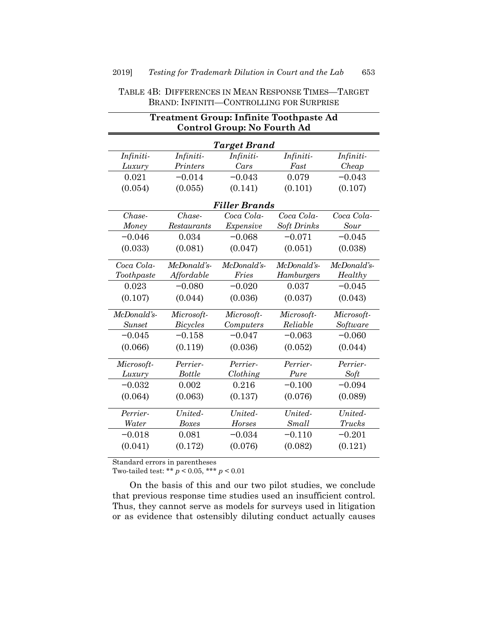|               | <b>Treatment Group: Infinite Toothpaste Ad</b><br><b>Control Group: No Fourth Ad</b> |                      |             |               |
|---------------|--------------------------------------------------------------------------------------|----------------------|-------------|---------------|
|               |                                                                                      | Target Brand         |             |               |
| Infiniti-     | Infiniti-                                                                            | Infiniti-            | Infiniti-   | Infiniti-     |
| Luxury        | Printers                                                                             | Cars                 | Fast        | Cheap         |
| 0.021         | $-0.014$                                                                             | $-0.043$             | 0.079       | $-0.043$      |
| (0.054)       | (0.055)                                                                              | (0.141)              | (0.101)     | (0.107)       |
|               |                                                                                      | <b>Filler Brands</b> |             |               |
| $Chase-$      | Chase-                                                                               | Coca Cola-           | Coca Cola-  | Coca Cola-    |
| Money         | Restaurants                                                                          | Expensive            | Soft Drinks | Sour          |
| $-0.046$      | 0.034                                                                                | $-0.068$             | $-0.071$    | $-0.045$      |
| (0.033)       | (0.081)                                                                              | (0.047)              | (0.051)     | (0.038)       |
| Coca Cola-    | McDonald's-                                                                          | McDonald's-          | McDonald's- | McDonald's-   |
| Toothpaste    | Affordable                                                                           | Fries                | Hamburgers  | Healthy       |
| 0.023         | $-0.080$                                                                             | $-0.020$             | 0.037       | $-0.045$      |
| (0.107)       | (0.044)                                                                              | (0.036)              | (0.037)     | (0.043)       |
| McDonald's-   | Microsoft-                                                                           | Microsoft-           | Microsoft-  | Microsoft-    |
| <b>Sunset</b> | Bicycles                                                                             | Computers            | Reliable    | Software      |
| $-0.045$      | $-0.158$                                                                             | $-0.047$             | $-0.063$    | $-0.060$      |
| (0.066)       | (0.119)                                                                              | (0.036)              | (0.052)     | (0.044)       |
| Microsoft-    | Perrier-                                                                             | Perrier-             | Perrier-    | Perrier-      |
| Luxury        | <b>Bottle</b>                                                                        | Clothing             | Pure        | Soft          |
| $-0.032$      | 0.002                                                                                | 0.216                | $-0.100$    | $-0.094$      |
| (0.064)       | (0.063)                                                                              | (0.137)              | (0.076)     | (0.089)       |
| Perrier-      | United-                                                                              | United-              | United-     | United-       |
| Water         | <b>Boxes</b>                                                                         | $Horses$             | Small       | <b>Trucks</b> |
| $-0.018$      | 0.081                                                                                | $-0.034$             | $-0.110$    | $-0.201$      |
| (0.041)       | (0.172)                                                                              | (0.076)              | (0.082)     | (0.121)       |

# TABLE 4B: DIFFERENCES IN MEAN RESPONSE TIMES—TARGET BRAND: INFINITI—CONTROLLING FOR SURPRISE

Standard errors in parentheses

Two-tailed test: \*\*  $p < 0.05$ , \*\*\*  $p < 0.01$ 

On the basis of this and our two pilot studies, we conclude that previous response time studies used an insufficient control. Thus, they cannot serve as models for surveys used in litigation or as evidence that ostensibly diluting conduct actually causes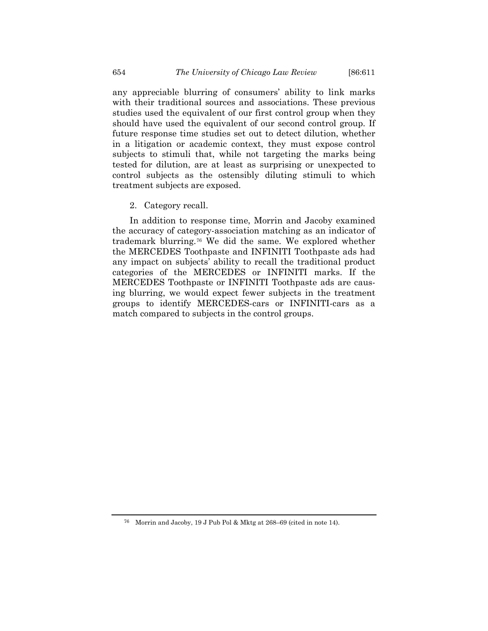any appreciable blurring of consumers' ability to link marks with their traditional sources and associations. These previous studies used the equivalent of our first control group when they should have used the equivalent of our second control group. If future response time studies set out to detect dilution, whether in a litigation or academic context, they must expose control subjects to stimuli that, while not targeting the marks being tested for dilution, are at least as surprising or unexpected to control subjects as the ostensibly diluting stimuli to which treatment subjects are exposed.

2. Category recall.

In addition to response time, Morrin and Jacoby examined the accuracy of category-association matching as an indicator of trademark blurring.[76](#page-43-0) We did the same. We explored whether the MERCEDES Toothpaste and INFINITI Toothpaste ads had any impact on subjects' ability to recall the traditional product categories of the MERCEDES or INFINITI marks. If the MERCEDES Toothpaste or INFINITI Toothpaste ads are causing blurring, we would expect fewer subjects in the treatment groups to identify MERCEDES-cars or INFINITI-cars as a match compared to subjects in the control groups.

<span id="page-43-0"></span><sup>76</sup> Morrin and Jacoby, 19 J Pub Pol & Mktg at 268–69 (cited in not[e 14\)](#page-7-1).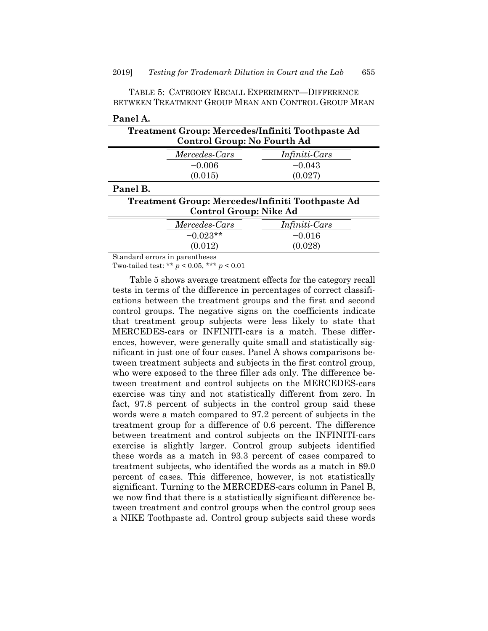| Panel A. |                             |                                                  |
|----------|-----------------------------|--------------------------------------------------|
|          |                             | Treatment Group: Mercedes/Infiniti Toothpaste Ad |
|          | Control Group: No Fourth Ad |                                                  |
|          | Mercedes-Cars               | <i>Infiniti-Cars</i>                             |
|          | $-0.006$                    | $-0.043$                                         |
|          | (0.015)                     | (0.027)                                          |
| Panel B. |                             |                                                  |
|          |                             | Treatment Group: Mercedes/Infiniti Toothpaste Ad |
|          | Control Group: Nike Ad      |                                                  |
|          | Mercedes-Cars               | Infiniti-Cars                                    |
|          | $-0.023**$                  | $-0.016$                                         |
|          | (0.012)                     | (0.028)                                          |

TABLE 5: CATEGORY RECALL EXPERIMENT—DIFFERENCE BETWEEN TREATMENT GROUP MEAN AND CONTROL GROUP MEAN

Standard errors in parentheses

Two-tailed test: \*\* *p* < 0.05, \*\*\* *p* < 0.01

Table 5 shows average treatment effects for the category recall tests in terms of the difference in percentages of correct classifications between the treatment groups and the first and second control groups. The negative signs on the coefficients indicate that treatment group subjects were less likely to state that MERCEDES-cars or INFINITI-cars is a match. These differences, however, were generally quite small and statistically significant in just one of four cases. Panel A shows comparisons between treatment subjects and subjects in the first control group, who were exposed to the three filler ads only. The difference between treatment and control subjects on the MERCEDES-cars exercise was tiny and not statistically different from zero. In fact, 97.8 percent of subjects in the control group said these words were a match compared to 97.2 percent of subjects in the treatment group for a difference of 0.6 percent. The difference between treatment and control subjects on the INFINITI-cars exercise is slightly larger. Control group subjects identified these words as a match in 93.3 percent of cases compared to treatment subjects, who identified the words as a match in 89.0 percent of cases. This difference, however, is not statistically significant. Turning to the MERCEDES-cars column in Panel B, we now find that there is a statistically significant difference between treatment and control groups when the control group sees a NIKE Toothpaste ad. Control group subjects said these words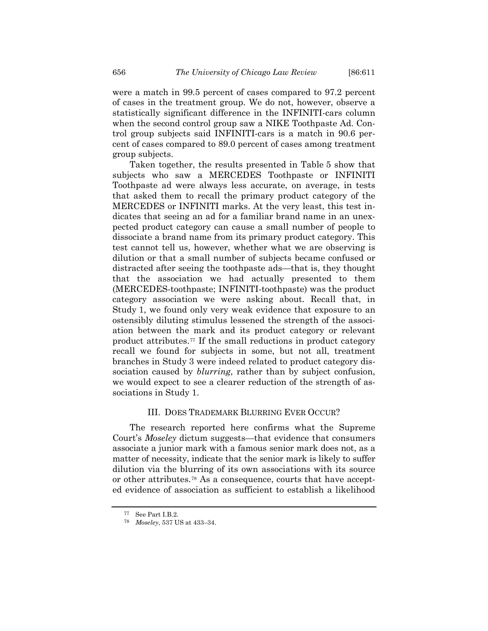were a match in 99.5 percent of cases compared to 97.2 percent of cases in the treatment group. We do not, however, observe a statistically significant difference in the INFINITI-cars column when the second control group saw a NIKE Toothpaste Ad. Control group subjects said INFINITI-cars is a match in 90.6 percent of cases compared to 89.0 percent of cases among treatment group subjects.

Taken together, the results presented in Table 5 show that subjects who saw a MERCEDES Toothpaste or INFINITI Toothpaste ad were always less accurate, on average, in tests that asked them to recall the primary product category of the MERCEDES or INFINITI marks. At the very least, this test indicates that seeing an ad for a familiar brand name in an unexpected product category can cause a small number of people to dissociate a brand name from its primary product category. This test cannot tell us, however, whether what we are observing is dilution or that a small number of subjects became confused or distracted after seeing the toothpaste ads—that is, they thought that the association we had actually presented to them (MERCEDES-toothpaste; INFINITI-toothpaste) was the product category association we were asking about. Recall that, in Study 1, we found only very weak evidence that exposure to an ostensibly diluting stimulus lessened the strength of the association between the mark and its product category or relevant product attributes.[77](#page-45-0) If the small reductions in product category recall we found for subjects in some, but not all, treatment branches in Study 3 were indeed related to product category dissociation caused by *blurring*, rather than by subject confusion, we would expect to see a clearer reduction of the strength of associations in Study 1.

#### III. DOES TRADEMARK BLURRING EVER OCCUR?

The research reported here confirms what the Supreme Court's *Moseley* dictum suggests—that evidence that consumers associate a junior mark with a famous senior mark does not, as a matter of necessity, indicate that the senior mark is likely to suffer dilution via the blurring of its own associations with its source or other attributes.[78](#page-45-1) As a consequence, courts that have accepted evidence of association as sufficient to establish a likelihood

<span id="page-45-1"></span><span id="page-45-0"></span><sup>77</sup> See Part I.B.2.

<sup>78</sup> *Moseley*, 537 US at 433–34.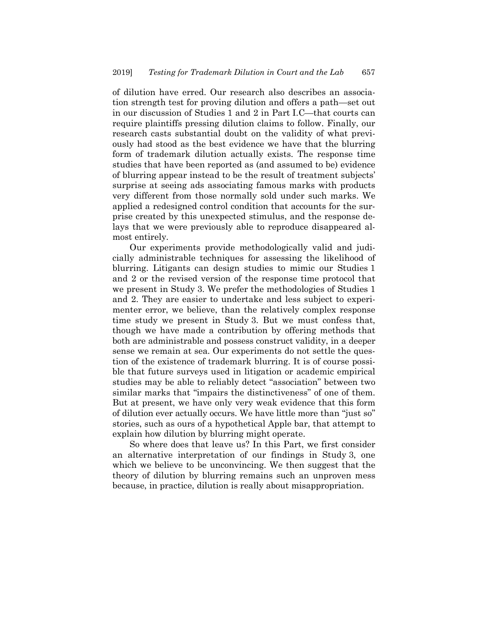of dilution have erred. Our research also describes an association strength test for proving dilution and offers a path—set out in our discussion of Studies 1 and 2 in Part I.C—that courts can require plaintiffs pressing dilution claims to follow. Finally, our research casts substantial doubt on the validity of what previously had stood as the best evidence we have that the blurring form of trademark dilution actually exists. The response time studies that have been reported as (and assumed to be) evidence of blurring appear instead to be the result of treatment subjects' surprise at seeing ads associating famous marks with products very different from those normally sold under such marks. We applied a redesigned control condition that accounts for the surprise created by this unexpected stimulus, and the response delays that we were previously able to reproduce disappeared almost entirely.

Our experiments provide methodologically valid and judicially administrable techniques for assessing the likelihood of blurring. Litigants can design studies to mimic our Studies 1 and 2 or the revised version of the response time protocol that we present in Study 3. We prefer the methodologies of Studies 1 and 2. They are easier to undertake and less subject to experimenter error, we believe, than the relatively complex response time study we present in Study 3. But we must confess that, though we have made a contribution by offering methods that both are administrable and possess construct validity, in a deeper sense we remain at sea. Our experiments do not settle the question of the existence of trademark blurring. It is of course possible that future surveys used in litigation or academic empirical studies may be able to reliably detect "association" between two similar marks that "impairs the distinctiveness" of one of them. But at present, we have only very weak evidence that this form of dilution ever actually occurs. We have little more than "just so" stories, such as ours of a hypothetical Apple bar, that attempt to explain how dilution by blurring might operate.

So where does that leave us? In this Part, we first consider an alternative interpretation of our findings in Study 3, one which we believe to be unconvincing. We then suggest that the theory of dilution by blurring remains such an unproven mess because, in practice, dilution is really about misappropriation.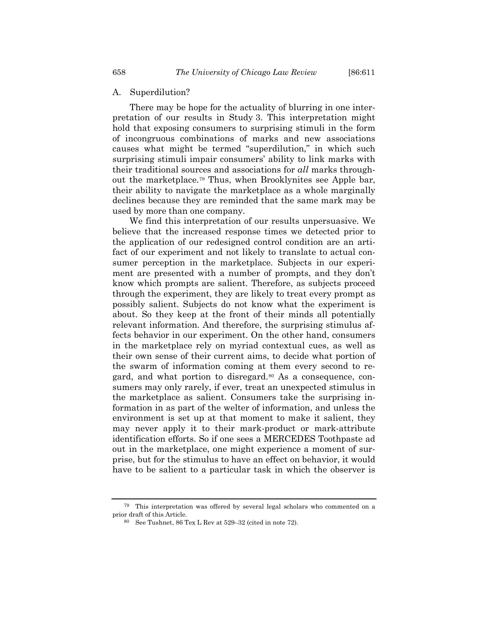#### A. Superdilution?

There may be hope for the actuality of blurring in one interpretation of our results in Study 3. This interpretation might hold that exposing consumers to surprising stimuli in the form of incongruous combinations of marks and new associations causes what might be termed "superdilution," in which such surprising stimuli impair consumers' ability to link marks with their traditional sources and associations for *all* marks throughout the marketplace.[79](#page-47-0) Thus, when Brooklynites see Apple bar, their ability to navigate the marketplace as a whole marginally declines because they are reminded that the same mark may be used by more than one company.

We find this interpretation of our results unpersuasive. We believe that the increased response times we detected prior to the application of our redesigned control condition are an artifact of our experiment and not likely to translate to actual consumer perception in the marketplace. Subjects in our experiment are presented with a number of prompts, and they don't know which prompts are salient. Therefore, as subjects proceed through the experiment, they are likely to treat every prompt as possibly salient. Subjects do not know what the experiment is about. So they keep at the front of their minds all potentially relevant information. And therefore, the surprising stimulus affects behavior in our experiment. On the other hand, consumers in the marketplace rely on myriad contextual cues, as well as their own sense of their current aims, to decide what portion of the swarm of information coming at them every second to re-gard, and what portion to disregard.<sup>[80](#page-47-1)</sup> As a consequence, consumers may only rarely, if ever, treat an unexpected stimulus in the marketplace as salient. Consumers take the surprising information in as part of the welter of information, and unless the environment is set up at that moment to make it salient, they may never apply it to their mark-product or mark-attribute identification efforts. So if one sees a MERCEDES Toothpaste ad out in the marketplace, one might experience a moment of surprise, but for the stimulus to have an effect on behavior, it would have to be salient to a particular task in which the observer is

<span id="page-47-1"></span><span id="page-47-0"></span><sup>79</sup> This interpretation was offered by several legal scholars who commented on a prior draft of this Article.

<sup>80</sup> See Tushnet, 86 Tex L Rev at 529–32 (cited in not[e 72\)](#page-30-4).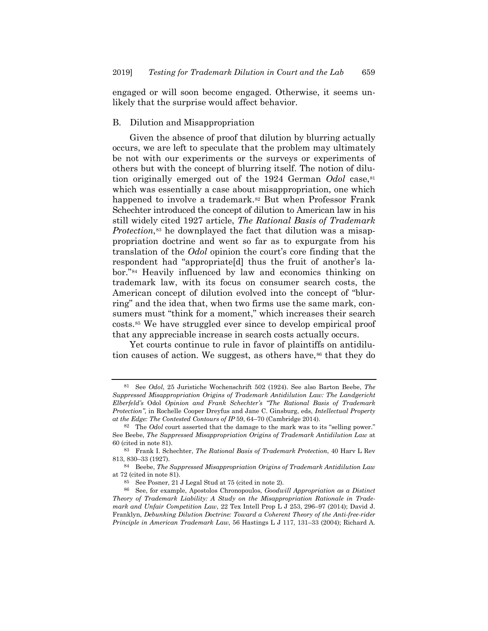engaged or will soon become engaged. Otherwise, it seems unlikely that the surprise would affect behavior.

#### B. Dilution and Misappropriation

<span id="page-48-0"></span>Given the absence of proof that dilution by blurring actually occurs, we are left to speculate that the problem may ultimately be not with our experiments or the surveys or experiments of others but with the concept of blurring itself. The notion of dilution originally emerged out of the 1924 German *Odol* case, <sup>[81](#page-48-1)</sup> which was essentially a case about misappropriation, one which happened to involve a trademark.<sup>[82](#page-48-2)</sup> But when Professor Frank Schechter introduced the concept of dilution to American law in his still widely cited 1927 article, *The Rational Basis of Trademark Protection*,<sup>[83](#page-48-3)</sup> he downplayed the fact that dilution was a misappropriation doctrine and went so far as to expurgate from his translation of the *Odol* opinion the court's core finding that the respondent had "appropriate[d] thus the fruit of another's labor.["84](#page-48-4) Heavily influenced by law and economics thinking on trademark law, with its focus on consumer search costs, the American concept of dilution evolved into the concept of "blurring" and the idea that, when two firms use the same mark, consumers must "think for a moment," which increases their search costs.[85](#page-48-5) We have struggled ever since to develop empirical proof that any appreciable increase in search costs actually occurs.

Yet courts continue to rule in favor of plaintiffs on antidilu-tion causes of action. We suggest, as others have,<sup>[86](#page-48-6)</sup> that they do

<span id="page-48-1"></span><sup>81</sup> See *Odol*, 25 Juristiche Wochenschrift 502 (1924). See also Barton Beebe, *The Suppressed Misappropriation Origins of Trademark Antidilution Law: The Landgericht Elberfeld's* Odol *Opinion and Frank Schechter's "The Rational Basis of Trademark Protection"*, in Rochelle Cooper Dreyfus and Jane C. Ginsburg, eds, *Intellectual Property at the Edge: The Contested Contours of IP* 59, 64–70 (Cambridge 2014).

<span id="page-48-2"></span><sup>82</sup> The *Odol* court asserted that the damage to the mark was to its "selling power." See Beebe, *The Suppressed Misappropriation Origins of Trademark Antidilution Law* at 60 (cited in not[e 81\)](#page-48-0).

<span id="page-48-3"></span><sup>83</sup> Frank I. Schechter, *The Rational Basis of Trademark Protection*, 40 Harv L Rev 813, 830–33 (1927).

<span id="page-48-4"></span><sup>84</sup> Beebe, *The Suppressed Misappropriation Origins of Trademark Antidilution Law* at 72 (cited in note [81\)](#page-48-0).

<sup>85</sup> See Posner, 21 J Legal Stud at 75 (cited in note [2\)](#page-2-2).

<span id="page-48-6"></span><span id="page-48-5"></span><sup>86</sup> See, for example, Apostolos Chronopoulos, *Goodwill Appropriation as a Distinct Theory of Trademark Liability: A Study on the Misappropriation Rationale in Trademark and Unfair Competition Law*, 22 Tex Intell Prop L J 253, 296–97 (2014); David J. Franklyn, *Debunking Dilution Doctrine: Toward a Coherent Theory of the Anti-free-rider Principle in American Trademark Law*, 56 Hastings L J 117, 131–33 (2004); Richard A.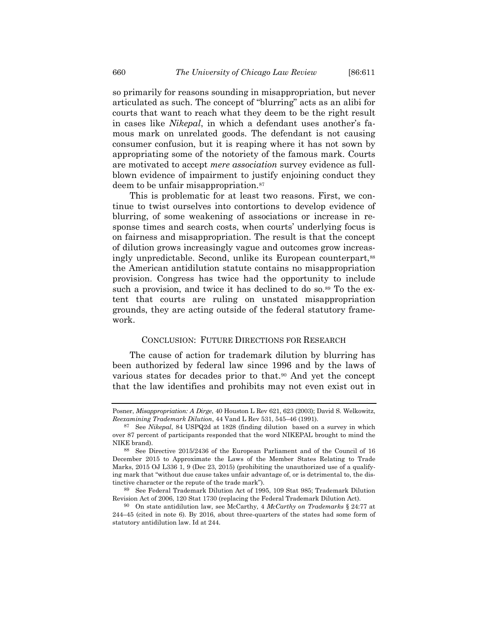so primarily for reasons sounding in misappropriation, but never articulated as such. The concept of "blurring" acts as an alibi for courts that want to reach what they deem to be the right result in cases like *Nikepal*, in which a defendant uses another's famous mark on unrelated goods. The defendant is not causing consumer confusion, but it is reaping where it has not sown by appropriating some of the notoriety of the famous mark. Courts are motivated to accept *mere association* survey evidence as fullblown evidence of impairment to justify enjoining conduct they deem to be unfair misappropriation.[87](#page-49-0)

This is problematic for at least two reasons. First, we continue to twist ourselves into contortions to develop evidence of blurring, of some weakening of associations or increase in response times and search costs, when courts' underlying focus is on fairness and misappropriation. The result is that the concept of dilution grows increasingly vague and outcomes grow increas-ingly unpredictable. Second, unlike its European counterpart,<sup>[88](#page-49-1)</sup> the American antidilution statute contains no misappropriation provision. Congress has twice had the opportunity to include such a provision, and twice it has declined to do so.<sup>[89](#page-49-2)</sup> To the extent that courts are ruling on unstated misappropriation grounds, they are acting outside of the federal statutory framework.

#### CONCLUSION: FUTURE DIRECTIONS FOR RESEARCH

The cause of action for trademark dilution by blurring has been authorized by federal law since 1996 and by the laws of various states for decades prior to that.[90](#page-49-3) And yet the concept that the law identifies and prohibits may not even exist out in

Posner, *Misappropriation: A Dirge*, 40 Houston L Rev 621, 623 (2003); David S. Welkowitz, *Reexamining Trademark Dilution*, 44 Vand L Rev 531, 545–46 (1991).

<span id="page-49-0"></span><sup>87</sup> See *Nikepal*, 84 USPQ2d at 1828 (finding dilution based on a survey in which over 87 percent of participants responded that the word NIKEPAL brought to mind the NIKE brand).

<span id="page-49-1"></span><sup>88</sup> See Directive 2015/2436 of the European Parliament and of the Council of 16 December 2015 to Approximate the Laws of the Member States Relating to Trade Marks, 2015 OJ L336 1, 9 (Dec 23, 2015) (prohibiting the unauthorized use of a qualifying mark that "without due cause takes unfair advantage of, or is detrimental to, the distinctive character or the repute of the trade mark").

<span id="page-49-2"></span><sup>89</sup> See Federal Trademark Dilution Act of 1995, 109 Stat 985; Trademark Dilution Revision Act of 2006, 120 Stat 1730 (replacing the Federal Trademark Dilution Act).

<span id="page-49-3"></span><sup>90</sup> On state antidilution law, see McCarthy, 4 *McCarthy on Trademarks* § 24:77 at 244–45 (cited in note [6\)](#page-4-4). By 2016, about three-quarters of the states had some form of statutory antidilution law. Id at 244.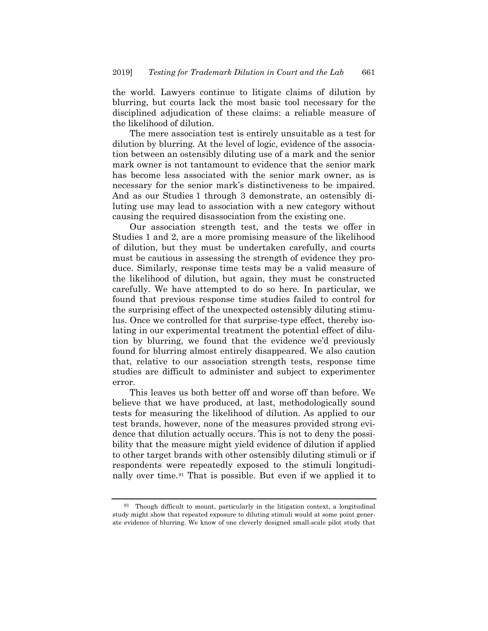the world. Lawyers continue to litigate claims of dilution by blurring, but courts lack the most basic tool necessary for the disciplined adjudication of these claims: a reliable measure of the likelihood of dilution.

The mere association test is entirely unsuitable as a test for dilution by blurring. At the level of logic, evidence of the association between an ostensibly diluting use of a mark and the senior mark owner is not tantamount to evidence that the senior mark has become less associated with the senior mark owner, as is necessary for the senior mark's distinctiveness to be impaired. And as our Studies 1 through 3 demonstrate, an ostensibly diluting use may lead to association with a new category without causing the required disassociation from the existing one.

Our association strength test, and the tests we offer in Studies 1 and 2, are a more promising measure of the likelihood of dilution, but they must be undertaken carefully, and courts must be cautious in assessing the strength of evidence they produce. Similarly, response time tests may be a valid measure of the likelihood of dilution, but again, they must be constructed carefully. We have attempted to do so here. In particular, we found that previous response time studies failed to control for the surprising effect of the unexpected ostensibly diluting stimulus. Once we controlled for that surprise-type effect, thereby isolating in our experimental treatment the potential effect of dilution by blurring, we found that the evidence we'd previously found for blurring almost entirely disappeared. We also caution that, relative to our association strength tests, response time studies are difficult to administer and subject to experimenter error.

This leaves us both better off and worse off than before. We believe that we have produced, at last, methodologically sound tests for measuring the likelihood of dilution. As applied to our test brands, however, none of the measures provided strong evidence that dilution actually occurs. This is not to deny the possibility that the measure might yield evidence of dilution if applied to other target brands with other ostensibly diluting stimuli or if respondents were repeatedly exposed to the stimuli longitudinally over time.[91](#page-50-0) That is possible. But even if we applied it to

<span id="page-50-0"></span><sup>91</sup> Though difficult to mount, particularly in the litigation context, a longitudinal study might show that repeated exposure to diluting stimuli would at some point generate evidence of blurring. We know of one cleverly designed small-scale pilot study that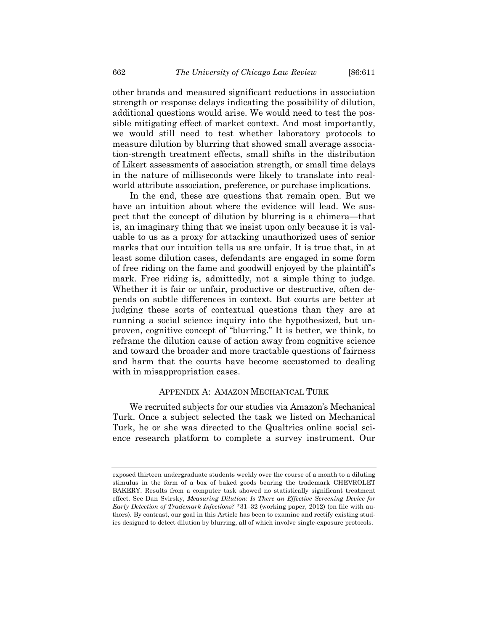other brands and measured significant reductions in association strength or response delays indicating the possibility of dilution, additional questions would arise. We would need to test the possible mitigating effect of market context. And most importantly, we would still need to test whether laboratory protocols to measure dilution by blurring that showed small average association-strength treatment effects, small shifts in the distribution of Likert assessments of association strength, or small time delays in the nature of milliseconds were likely to translate into realworld attribute association, preference, or purchase implications.

In the end, these are questions that remain open. But we have an intuition about where the evidence will lead. We suspect that the concept of dilution by blurring is a chimera—that is, an imaginary thing that we insist upon only because it is valuable to us as a proxy for attacking unauthorized uses of senior marks that our intuition tells us are unfair. It is true that, in at least some dilution cases, defendants are engaged in some form of free riding on the fame and goodwill enjoyed by the plaintiff's mark. Free riding is, admittedly, not a simple thing to judge. Whether it is fair or unfair, productive or destructive, often depends on subtle differences in context. But courts are better at judging these sorts of contextual questions than they are at running a social science inquiry into the hypothesized, but unproven, cognitive concept of "blurring." It is better, we think, to reframe the dilution cause of action away from cognitive science and toward the broader and more tractable questions of fairness and harm that the courts have become accustomed to dealing with in misappropriation cases.

#### APPENDIX A: AMAZON MECHANICAL TURK

We recruited subjects for our studies via Amazon's Mechanical Turk. Once a subject selected the task we listed on Mechanical Turk, he or she was directed to the Qualtrics online social science research platform to complete a survey instrument. Our

exposed thirteen undergraduate students weekly over the course of a month to a diluting stimulus in the form of a box of baked goods bearing the trademark CHEVROLET BAKERY. Results from a computer task showed no statistically significant treatment effect. See Dan Svirsky, *Measuring Dilution: Is There an Effective Screening Device for Early Detection of Trademark Infections?* \*31–32 (working paper, 2012) (on file with authors). By contrast, our goal in this Article has been to examine and rectify existing studies designed to detect dilution by blurring, all of which involve single-exposure protocols.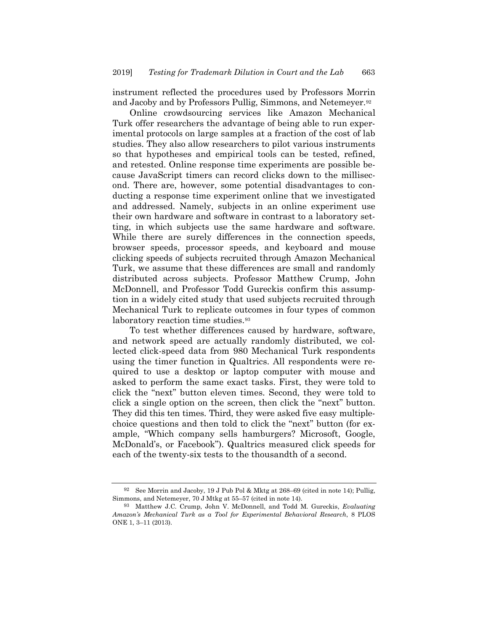instrument reflected the procedures used by Professors Morrin and Jacoby and by Professors Pullig, Simmons, and Netemeyer[.92](#page-52-0)

Online crowdsourcing services like Amazon Mechanical Turk offer researchers the advantage of being able to run experimental protocols on large samples at a fraction of the cost of lab studies. They also allow researchers to pilot various instruments so that hypotheses and empirical tools can be tested, refined, and retested. Online response time experiments are possible because JavaScript timers can record clicks down to the millisecond. There are, however, some potential disadvantages to conducting a response time experiment online that we investigated and addressed. Namely, subjects in an online experiment use their own hardware and software in contrast to a laboratory setting, in which subjects use the same hardware and software. While there are surely differences in the connection speeds, browser speeds, processor speeds, and keyboard and mouse clicking speeds of subjects recruited through Amazon Mechanical Turk, we assume that these differences are small and randomly distributed across subjects. Professor Matthew Crump, John McDonnell, and Professor Todd Gureckis confirm this assumption in a widely cited study that used subjects recruited through Mechanical Turk to replicate outcomes in four types of common laboratory reaction time studies.<sup>93</sup>

To test whether differences caused by hardware, software, and network speed are actually randomly distributed, we collected click-speed data from 980 Mechanical Turk respondents using the timer function in Qualtrics. All respondents were required to use a desktop or laptop computer with mouse and asked to perform the same exact tasks. First, they were told to click the "next" button eleven times. Second, they were told to click a single option on the screen, then click the "next" button. They did this ten times. Third, they were asked five easy multiplechoice questions and then told to click the "next" button (for example, "Which company sells hamburgers? Microsoft, Google, McDonald's, or Facebook"). Qualtrics measured click speeds for each of the twenty-six tests to the thousandth of a second.

<span id="page-52-0"></span><sup>92</sup> See Morrin and Jacoby, 19 J Pub Pol & Mktg at 268–69 (cited in not[e 14\)](#page-7-1); Pullig, Simmons, and Netemeyer, 70 J Mtkg at 55–57 (cited in not[e 14\)](#page-7-1).

<span id="page-52-1"></span><sup>93</sup> Matthew J.C. Crump, John V. McDonnell, and Todd M. Gureckis, *Evaluating Amazon's Mechanical Turk as a Tool for Experimental Behavioral Research*, 8 PLOS ONE 1, 3–11 (2013).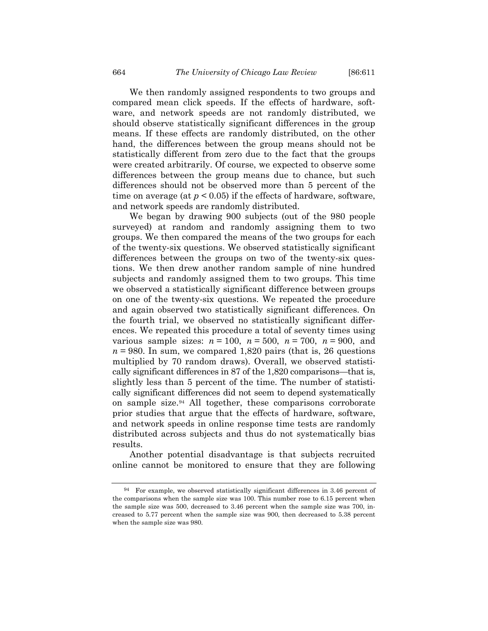We then randomly assigned respondents to two groups and compared mean click speeds. If the effects of hardware, software, and network speeds are not randomly distributed, we should observe statistically significant differences in the group means. If these effects are randomly distributed, on the other hand, the differences between the group means should not be statistically different from zero due to the fact that the groups were created arbitrarily. Of course, we expected to observe some differences between the group means due to chance, but such differences should not be observed more than 5 percent of the time on average (at  $p < 0.05$ ) if the effects of hardware, software, and network speeds are randomly distributed.

We began by drawing 900 subjects (out of the 980 people surveyed) at random and randomly assigning them to two groups. We then compared the means of the two groups for each of the twenty-six questions. We observed statistically significant differences between the groups on two of the twenty-six questions. We then drew another random sample of nine hundred subjects and randomly assigned them to two groups. This time we observed a statistically significant difference between groups on one of the twenty-six questions. We repeated the procedure and again observed two statistically significant differences. On the fourth trial, we observed no statistically significant differences. We repeated this procedure a total of seventy times using various sample sizes:  $n = 100$ ,  $n = 500$ ,  $n = 700$ ,  $n = 900$ , and  $n = 980$ . In sum, we compared 1,820 pairs (that is, 26 questions multiplied by 70 random draws). Overall, we observed statistically significant differences in 87 of the 1,820 comparisons—that is, slightly less than 5 percent of the time. The number of statistically significant differences did not seem to depend systematically on sample size.[94](#page-53-0) All together, these comparisons corroborate prior studies that argue that the effects of hardware, software, and network speeds in online response time tests are randomly distributed across subjects and thus do not systematically bias results.

Another potential disadvantage is that subjects recruited online cannot be monitored to ensure that they are following

<span id="page-53-0"></span><sup>94</sup> For example, we observed statistically significant differences in 3.46 percent of the comparisons when the sample size was 100. This number rose to 6.15 percent when the sample size was 500, decreased to 3.46 percent when the sample size was 700, increased to 5.77 percent when the sample size was 900, then decreased to 5.38 percent when the sample size was 980.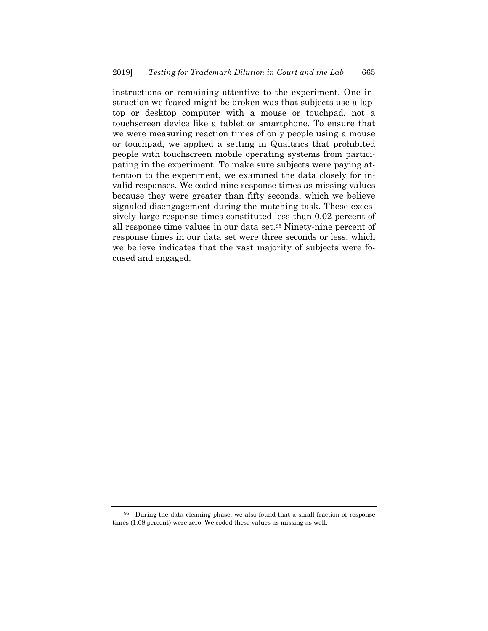instructions or remaining attentive to the experiment. One instruction we feared might be broken was that subjects use a laptop or desktop computer with a mouse or touchpad, not a touchscreen device like a tablet or smartphone. To ensure that we were measuring reaction times of only people using a mouse or touchpad, we applied a setting in Qualtrics that prohibited people with touchscreen mobile operating systems from participating in the experiment. To make sure subjects were paying attention to the experiment, we examined the data closely for invalid responses. We coded nine response times as missing values because they were greater than fifty seconds, which we believe signaled disengagement during the matching task. These excessively large response times constituted less than 0.02 percent of all response time values in our data set.[95](#page-54-0) Ninety-nine percent of response times in our data set were three seconds or less, which we believe indicates that the vast majority of subjects were focused and engaged.

<span id="page-54-0"></span><sup>95</sup> During the data cleaning phase, we also found that a small fraction of response times (1.08 percent) were zero. We coded these values as missing as well.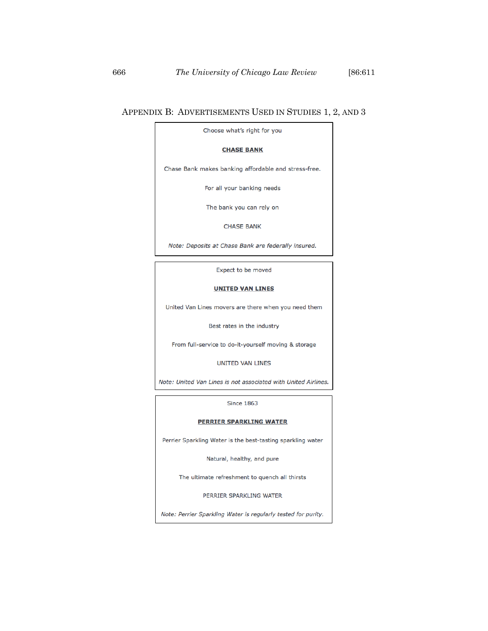#### APPENDIX B: ADVERTISEMENTS USED IN STUDIES 1, 2, AND 3

Choose what's right for you

#### **CHASE BANK**

Chase Bank makes banking affordable and stress-free.

For all your banking needs

The bank you can rely on

**CHASE BANK** 

Note: Deposits at Chase Bank are federally insured.

Expect to be moved

#### **UNITED VAN LINES**

United Van Lines movers are there when you need them

Best rates in the industry

From full-service to do-it-yourself moving & storage

UNITED VAN LINES

Note: United Van Lines is not associated with United Airlines.

**Since 1863** 

#### **PERRIER SPARKLING WATER**

Perrier Sparkling Water is the best-tasting sparkling water

Natural, healthy, and pure

The ultimate refreshment to quench all thirsts

PERRIER SPARKLING WATER

Note: Perrier Sparkling Water is regularly tested for purity.